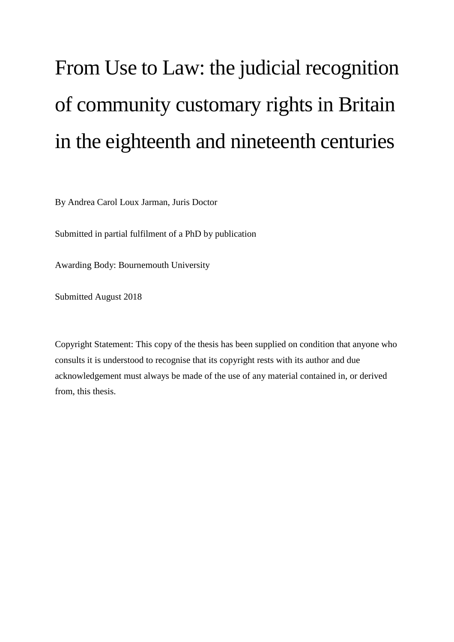# From Use to Law: the judicial recognition of community customary rights in Britain in the eighteenth and nineteenth centuries

By Andrea Carol Loux Jarman, Juris Doctor

Submitted in partial fulfilment of a PhD by publication

Awarding Body: Bournemouth University

Submitted August 2018

Copyright Statement: This copy of the thesis has been supplied on condition that anyone who consults it is understood to recognise that its copyright rests with its author and due acknowledgement must always be made of the use of any material contained in, or derived from, this thesis.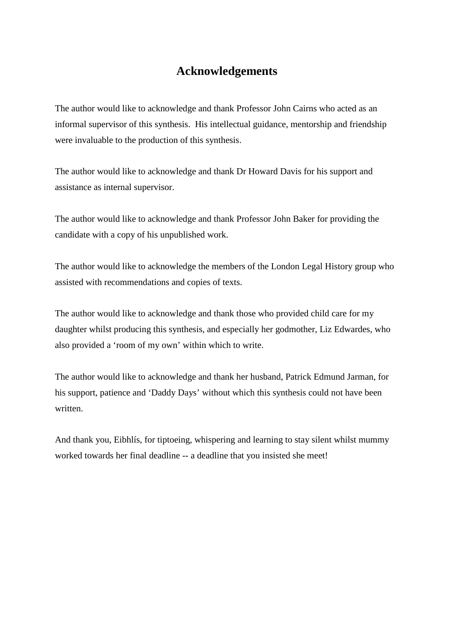# **Acknowledgements**

<span id="page-1-0"></span>The author would like to acknowledge and thank Professor John Cairns who acted as an informal supervisor of this synthesis. His intellectual guidance, mentorship and friendship were invaluable to the production of this synthesis.

The author would like to acknowledge and thank Dr Howard Davis for his support and assistance as internal supervisor.

The author would like to acknowledge and thank Professor John Baker for providing the candidate with a copy of his unpublished work.

The author would like to acknowledge the members of the London Legal History group who assisted with recommendations and copies of texts.

The author would like to acknowledge and thank those who provided child care for my daughter whilst producing this synthesis, and especially her godmother, Liz Edwardes, who also provided a 'room of my own' within which to write.

The author would like to acknowledge and thank her husband, Patrick Edmund Jarman, for his support, patience and 'Daddy Days' without which this synthesis could not have been written.

And thank you, Eibhlís, for tiptoeing, whispering and learning to stay silent whilst mummy worked towards her final deadline -- a deadline that you insisted she meet!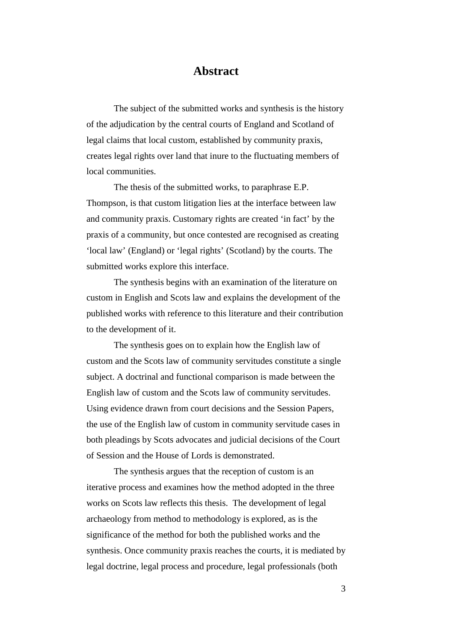## **Abstract**

<span id="page-2-0"></span>The subject of the submitted works and synthesis is the history of the adjudication by the central courts of England and Scotland of legal claims that local custom, established by community praxis, creates legal rights over land that inure to the fluctuating members of local communities.

The thesis of the submitted works, to paraphrase E.P. Thompson, is that custom litigation lies at the interface between law and community praxis. Customary rights are created 'in fact' by the praxis of a community, but once contested are recognised as creating 'local law' (England) or 'legal rights' (Scotland) by the courts. The submitted works explore this interface.

The synthesis begins with an examination of the literature on custom in English and Scots law and explains the development of the published works with reference to this literature and their contribution to the development of it.

The synthesis goes on to explain how the English law of custom and the Scots law of community servitudes constitute a single subject. A doctrinal and functional comparison is made between the English law of custom and the Scots law of community servitudes. Using evidence drawn from court decisions and the Session Papers, the use of the English law of custom in community servitude cases in both pleadings by Scots advocates and judicial decisions of the Court of Session and the House of Lords is demonstrated.

The synthesis argues that the reception of custom is an iterative process and examines how the method adopted in the three works on Scots law reflects this thesis. The development of legal archaeology from method to methodology is explored, as is the significance of the method for both the published works and the synthesis. Once community praxis reaches the courts, it is mediated by legal doctrine, legal process and procedure, legal professionals (both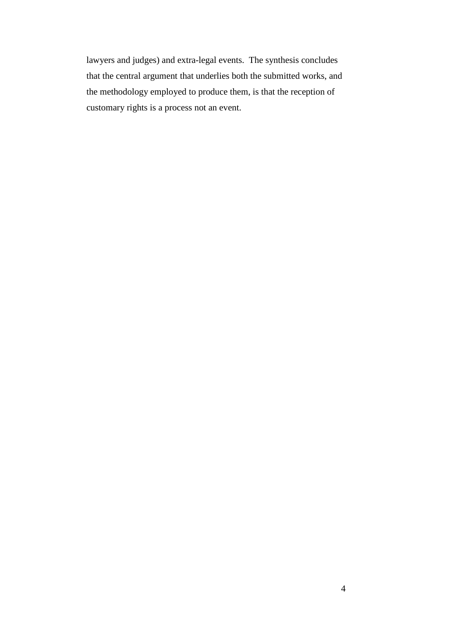lawyers and judges) and extra-legal events. The synthesis concludes that the central argument that underlies both the submitted works, and the methodology employed to produce them, is that the reception of customary rights is a process not an event.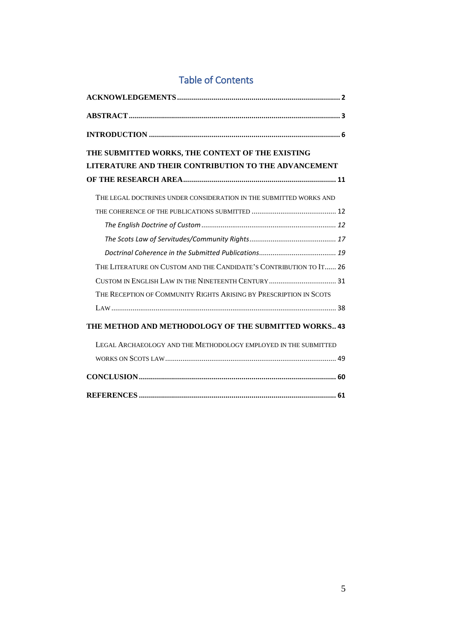# Table of Contents

| THE SUBMITTED WORKS, THE CONTEXT OF THE EXISTING                   |
|--------------------------------------------------------------------|
| LITERATURE AND THEIR CONTRIBUTION TO THE ADVANCEMENT               |
|                                                                    |
| THE LEGAL DOCTRINES UNDER CONSIDERATION IN THE SUBMITTED WORKS AND |
|                                                                    |
|                                                                    |
|                                                                    |
|                                                                    |
| THE LITERATURE ON CUSTOM AND THE CANDIDATE'S CONTRIBUTION TO IT 26 |
|                                                                    |
| THE RECEPTION OF COMMUNITY RIGHTS ARISING BY PRESCRIPTION IN SCOTS |
|                                                                    |
| THE METHOD AND METHODOLOGY OF THE SUBMITTED WORKS 43               |
| LEGAL ARCHAEOLOGY AND THE METHODOLOGY EMPLOYED IN THE SUBMITTED    |
|                                                                    |
|                                                                    |
|                                                                    |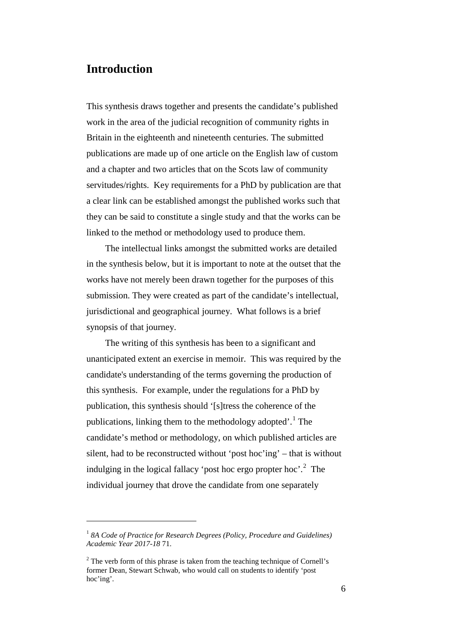## <span id="page-5-0"></span>**Introduction**

 $\overline{a}$ 

This synthesis draws together and presents the candidate's published work in the area of the judicial recognition of community rights in Britain in the eighteenth and nineteenth centuries. The submitted publications are made up of one article on the English law of custom and a chapter and two articles that on the Scots law of community servitudes/rights. Key requirements for a PhD by publication are that a clear link can be established amongst the published works such that they can be said to constitute a single study and that the works can be linked to the method or methodology used to produce them.

The intellectual links amongst the submitted works are detailed in the synthesis below, but it is important to note at the outset that the works have not merely been drawn together for the purposes of this submission. They were created as part of the candidate's intellectual, jurisdictional and geographical journey. What follows is a brief synopsis of that journey.

The writing of this synthesis has been to a significant and unanticipated extent an exercise in memoir. This was required by the candidate's understanding of the terms governing the production of this synthesis. For example, under the regulations for a PhD by publication, this synthesis should '[s]tress the coherence of the publications, linking them to the methodology adopted'.<sup>[1](#page-5-1)</sup> The candidate's method or methodology, on which published articles are silent, had to be reconstructed without 'post hoc'ing' – that is without indulging in the logical fallacy 'post hoc ergo propter hoc'.<sup>[2](#page-5-2)</sup> The individual journey that drove the candidate from one separately

<span id="page-5-1"></span><sup>1</sup> *8A Code of Practice for Research Degrees (Policy, Procedure and Guidelines) Academic Year 2017-18* 71.

<span id="page-5-2"></span> $2$  The verb form of this phrase is taken from the teaching technique of Cornell's former Dean, Stewart Schwab, who would call on students to identify 'post hoc'ing'.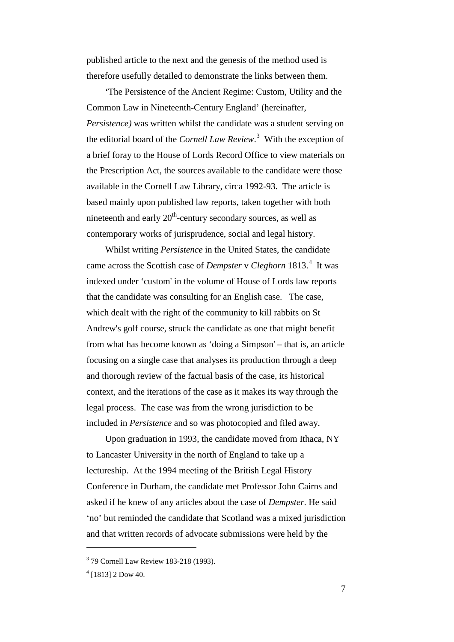published article to the next and the genesis of the method used is therefore usefully detailed to demonstrate the links between them.

'The Persistence of the Ancient Regime: Custom, Utility and the Common Law in Nineteenth-Century England' (hereinafter, *Persistence)* was written whilst the candidate was a student serving on the editorial board of the *Cornell Law Review*. [3](#page-6-0) With the exception of a brief foray to the House of Lords Record Office to view materials on the Prescription Act, the sources available to the candidate were those available in the Cornell Law Library, circa 1992-93. The article is based mainly upon published law reports, taken together with both nineteenth and early  $20<sup>th</sup>$ -century secondary sources, as well as contemporary works of jurisprudence, social and legal history.

Whilst writing *Persistence* in the United States, the candidate came across the Scottish case of *Dempster* v *Cleghorn* 1813.<sup>[4](#page-6-1)</sup> It was indexed under 'custom' in the volume of House of Lords law reports that the candidate was consulting for an English case. The case, which dealt with the right of the community to kill rabbits on St Andrew's golf course, struck the candidate as one that might benefit from what has become known as 'doing a Simpson' – that is, an article focusing on a single case that analyses its production through a deep and thorough review of the factual basis of the case, its historical context, and the iterations of the case as it makes its way through the legal process. The case was from the wrong jurisdiction to be included in *Persistence* and so was photocopied and filed away.

Upon graduation in 1993, the candidate moved from Ithaca, NY to Lancaster University in the north of England to take up a lectureship. At the 1994 meeting of the British Legal History Conference in Durham, the candidate met Professor John Cairns and asked if he knew of any articles about the case of *Dempster*. He said 'no' but reminded the candidate that Scotland was a mixed jurisdiction and that written records of advocate submissions were held by the

<span id="page-6-0"></span><sup>3</sup> 79 Cornell Law Review 183-218 (1993).

<span id="page-6-1"></span> $4$  [1813] 2 Dow 40.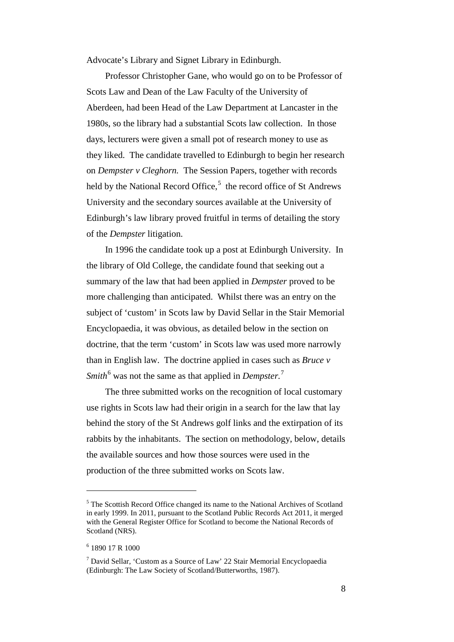Advocate's Library and Signet Library in Edinburgh.

Professor Christopher Gane, who would go on to be Professor of Scots Law and Dean of the Law Faculty of the University of Aberdeen, had been Head of the Law Department at Lancaster in the 1980s, so the library had a substantial Scots law collection. In those days, lecturers were given a small pot of research money to use as they liked. The candidate travelled to Edinburgh to begin her research on *Dempster v Cleghorn.* The Session Papers, together with records held by the National Record Office,<sup>[5](#page-7-0)</sup> the record office of St Andrews University and the secondary sources available at the University of Edinburgh's law library proved fruitful in terms of detailing the story of the *Dempster* litigation.

In 1996 the candidate took up a post at Edinburgh University. In the library of Old College, the candidate found that seeking out a summary of the law that had been applied in *Dempster* proved to be more challenging than anticipated. Whilst there was an entry on the subject of 'custom' in Scots law by David Sellar in the Stair Memorial Encyclopaedia, it was obvious, as detailed below in the section on doctrine, that the term 'custom' in Scots law was used more narrowly than in English law. The doctrine applied in cases such as *Bruce v Smith*<sup>[6](#page-7-1)</sup> was not the same as that applied in *Dempster*.<sup>[7](#page-7-2)</sup>

The three submitted works on the recognition of local customary use rights in Scots law had their origin in a search for the law that lay behind the story of the St Andrews golf links and the extirpation of its rabbits by the inhabitants. The section on methodology, below, details the available sources and how those sources were used in the production of the three submitted works on Scots law.

<span id="page-7-0"></span><sup>&</sup>lt;sup>5</sup> The Scottish Record Office changed its name to the National Archives of Scotland in early 1999. In 2011, pursuant to the Scotland Public Records Act 2011, it merged with the General Register Office for Scotland to become the National Records of Scotland (NRS).

<span id="page-7-1"></span><sup>6</sup> 1890 17 R 1000

<span id="page-7-2"></span><sup>7</sup> David Sellar, 'Custom as a Source of Law' 22 Stair Memorial Encyclopaedia (Edinburgh: The Law Society of Scotland/Butterworths, 1987).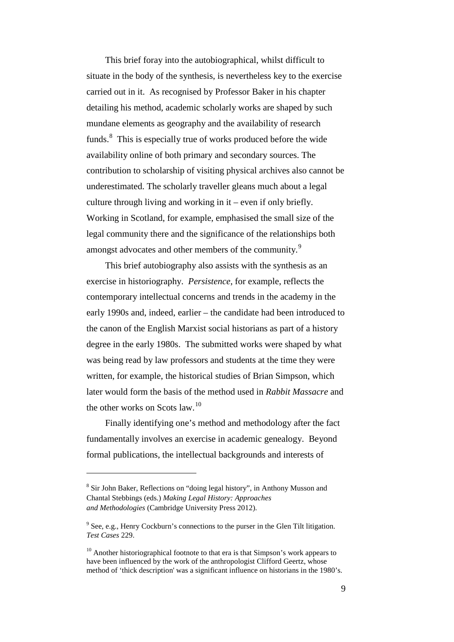This brief foray into the autobiographical, whilst difficult to situate in the body of the synthesis, is nevertheless key to the exercise carried out in it. As recognised by Professor Baker in his chapter detailing his method, academic scholarly works are shaped by such mundane elements as geography and the availability of research funds.<sup>[8](#page-8-0)</sup> This is especially true of works produced before the wide availability online of both primary and secondary sources. The contribution to scholarship of visiting physical archives also cannot be underestimated. The scholarly traveller gleans much about a legal culture through living and working in it – even if only briefly. Working in Scotland, for example, emphasised the small size of the legal community there and the significance of the relationships both amongst advocates and other members of the community.<sup>[9](#page-8-1)</sup>

This brief autobiography also assists with the synthesis as an exercise in historiography. *Persistence*, for example, reflects the contemporary intellectual concerns and trends in the academy in the early 1990s and, indeed, earlier – the candidate had been introduced to the canon of the English Marxist social historians as part of a history degree in the early 1980s. The submitted works were shaped by what was being read by law professors and students at the time they were written, for example, the historical studies of Brian Simpson, which later would form the basis of the method used in *Rabbit Massacre* and the other works on Scots law.<sup>[10](#page-8-2)</sup>

Finally identifying one's method and methodology after the fact fundamentally involves an exercise in academic genealogy. Beyond formal publications, the intellectual backgrounds and interests of

<span id="page-8-0"></span><sup>&</sup>lt;sup>8</sup> Sir John Baker, Reflections on "doing legal history", in Anthony Musson and Chantal Stebbings (eds.) *Making Legal History: Approaches and Methodologies* (Cambridge University Press 2012).

<span id="page-8-1"></span> $9^9$  See, e.g., Henry Cockburn's connections to the purser in the Glen Tilt litigation. *Test Cases* 229.

<span id="page-8-2"></span> $10$  Another historiographical footnote to that era is that Simpson's work appears to have been influenced by the work of the anthropologist Clifford Geertz, whose method of 'thick description' was a significant influence on historians in the 1980's.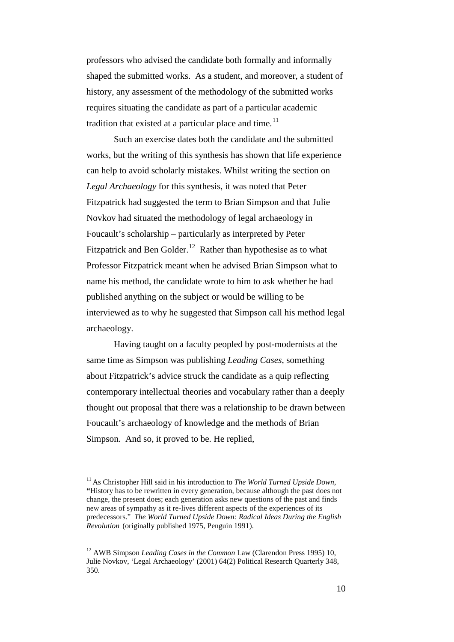professors who advised the candidate both formally and informally shaped the submitted works. As a student, and moreover, a student of history, any assessment of the methodology of the submitted works requires situating the candidate as part of a particular academic tradition that existed at a particular place and time.<sup>11</sup>

Such an exercise dates both the candidate and the submitted works, but the writing of this synthesis has shown that life experience can help to avoid scholarly mistakes. Whilst writing the section on *Legal Archaeology* for this synthesis, it was noted that Peter Fitzpatrick had suggested the term to Brian Simpson and that Julie Novkov had situated the methodology of legal archaeology in Foucault's scholarship – particularly as interpreted by Peter Fitzpatrick and Ben Golder.<sup>[12](#page-9-1)</sup> Rather than hypothesise as to what Professor Fitzpatrick meant when he advised Brian Simpson what to name his method, the candidate wrote to him to ask whether he had published anything on the subject or would be willing to be interviewed as to why he suggested that Simpson call his method legal archaeology.

Having taught on a faculty peopled by post-modernists at the same time as Simpson was publishing *Leading Cases*, something about Fitzpatrick's advice struck the candidate as a quip reflecting contemporary intellectual theories and vocabulary rather than a deeply thought out proposal that there was a relationship to be drawn between Foucault's archaeology of knowledge and the methods of Brian Simpson. And so, it proved to be. He replied,

<span id="page-9-0"></span><sup>&</sup>lt;sup>11</sup> As Christopher Hill said in his introduction to *The World Turned Upside Down*, **"**History has to be rewritten in every generation, because although the past does not change, the present does; each generation asks new questions of the past and finds new areas of sympathy as it re-lives different aspects of the experiences of its predecessors." *The World Turned Upside Down: Radical Ideas During the English Revolution* (originally published 1975, Penguin 1991).

<span id="page-9-1"></span><sup>12</sup> AWB Simpson *Leading Cases in the Common* Law (Clarendon Press 1995) 10, Julie Novkov, 'Legal Archaeology' (2001) 64(2) Political Research Quarterly 348, 350.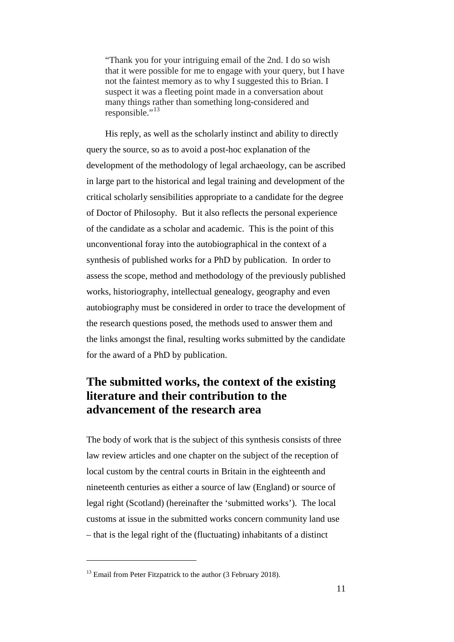"Thank you for your intriguing email of the 2nd. I do so wish that it were possible for me to engage with your query, but I have not the faintest memory as to why I suggested this to Brian. I suspect it was a fleeting point made in a conversation about many things rather than something long-considered and responsible."<sup>[13](#page-10-1)</sup>

His reply, as well as the scholarly instinct and ability to directly query the source, so as to avoid a post-hoc explanation of the development of the methodology of legal archaeology, can be ascribed in large part to the historical and legal training and development of the critical scholarly sensibilities appropriate to a candidate for the degree of Doctor of Philosophy. But it also reflects the personal experience of the candidate as a scholar and academic. This is the point of this unconventional foray into the autobiographical in the context of a synthesis of published works for a PhD by publication. In order to assess the scope, method and methodology of the previously published works, historiography, intellectual genealogy, geography and even autobiography must be considered in order to trace the development of the research questions posed, the methods used to answer them and the links amongst the final, resulting works submitted by the candidate for the award of a PhD by publication.

# <span id="page-10-0"></span>**The submitted works, the context of the existing literature and their contribution to the advancement of the research area**

The body of work that is the subject of this synthesis consists of three law review articles and one chapter on the subject of the reception of local custom by the central courts in Britain in the eighteenth and nineteenth centuries as either a source of law (England) or source of legal right (Scotland) (hereinafter the 'submitted works'). The local customs at issue in the submitted works concern community land use – that is the legal right of the (fluctuating) inhabitants of a distinct

<span id="page-10-1"></span><sup>&</sup>lt;sup>13</sup> Email from Peter Fitzpatrick to the author (3 February 2018).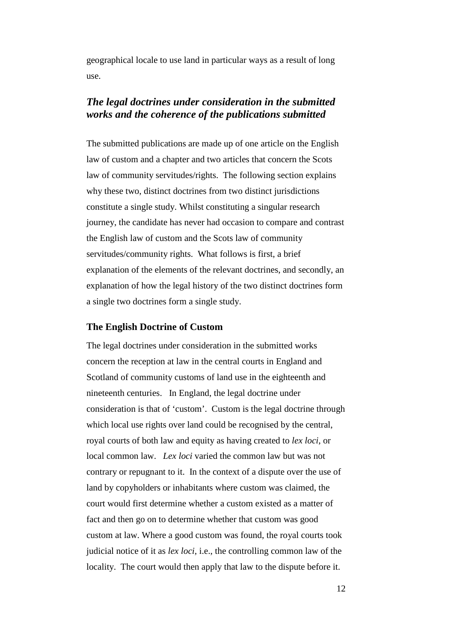geographical locale to use land in particular ways as a result of long use.

#### <span id="page-11-0"></span>*The legal doctrines under consideration in the submitted works and the coherence of the publications submitted*

The submitted publications are made up of one article on the English law of custom and a chapter and two articles that concern the Scots law of community servitudes/rights. The following section explains why these two, distinct doctrines from two distinct jurisdictions constitute a single study. Whilst constituting a singular research journey, the candidate has never had occasion to compare and contrast the English law of custom and the Scots law of community servitudes/community rights. What follows is first, a brief explanation of the elements of the relevant doctrines, and secondly, an explanation of how the legal history of the two distinct doctrines form a single two doctrines form a single study.

#### <span id="page-11-1"></span>**The English Doctrine of Custom**

The legal doctrines under consideration in the submitted works concern the reception at law in the central courts in England and Scotland of community customs of land use in the eighteenth and nineteenth centuries. In England, the legal doctrine under consideration is that of 'custom'. Custom is the legal doctrine through which local use rights over land could be recognised by the central, royal courts of both law and equity as having created to *lex loci*, or local common law. *Lex loci* varied the common law but was not contrary or repugnant to it. In the context of a dispute over the use of land by copyholders or inhabitants where custom was claimed, the court would first determine whether a custom existed as a matter of fact and then go on to determine whether that custom was good custom at law. Where a good custom was found, the royal courts took judicial notice of it as *lex loci*, i.e., the controlling common law of the locality. The court would then apply that law to the dispute before it.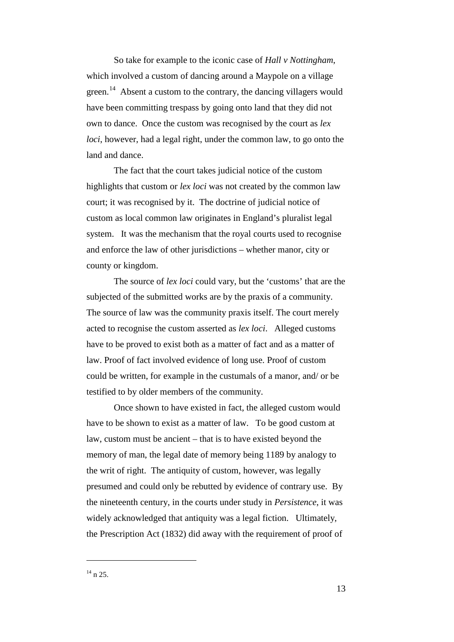So take for example to the iconic case of *Hall v Nottingham*, which involved a custom of dancing around a Maypole on a village green.<sup>14</sup> Absent a custom to the contrary, the dancing villagers would have been committing trespass by going onto land that they did not own to dance. Once the custom was recognised by the court as *lex loci*, however, had a legal right, under the common law, to go onto the land and dance.

The fact that the court takes judicial notice of the custom highlights that custom or *lex loci* was not created by the common law court; it was recognised by it. The doctrine of judicial notice of custom as local common law originates in England's pluralist legal system. It was the mechanism that the royal courts used to recognise and enforce the law of other jurisdictions – whether manor, city or county or kingdom.

The source of *lex loci* could vary, but the 'customs' that are the subjected of the submitted works are by the praxis of a community. The source of law was the community praxis itself. The court merely acted to recognise the custom asserted as *lex loci*. Alleged customs have to be proved to exist both as a matter of fact and as a matter of law. Proof of fact involved evidence of long use. Proof of custom could be written, for example in the custumals of a manor, and/ or be testified to by older members of the community.

Once shown to have existed in fact, the alleged custom would have to be shown to exist as a matter of law. To be good custom at law, custom must be ancient – that is to have existed beyond the memory of man, the legal date of memory being 1189 by analogy to the writ of right. The antiquity of custom, however, was legally presumed and could only be rebutted by evidence of contrary use. By the nineteenth century, in the courts under study in *Persistence*, it was widely acknowledged that antiquity was a legal fiction. Ultimately, the Prescription Act (1832) did away with the requirement of proof of

<span id="page-12-0"></span> $14 n 25$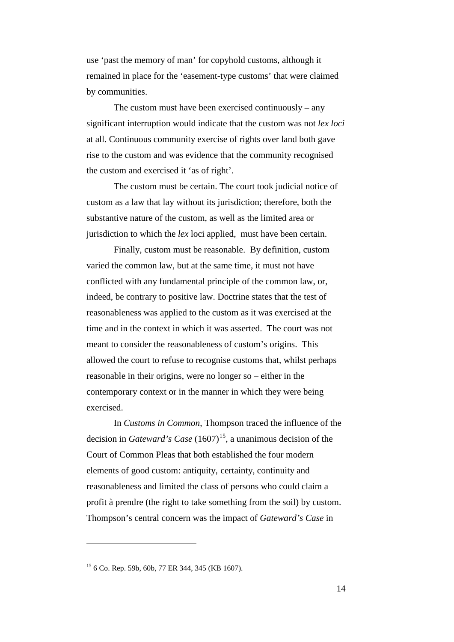use 'past the memory of man' for copyhold customs, although it remained in place for the 'easement-type customs' that were claimed by communities.

The custom must have been exercised continuously – any significant interruption would indicate that the custom was not *lex loci* at all. Continuous community exercise of rights over land both gave rise to the custom and was evidence that the community recognised the custom and exercised it 'as of right'.

The custom must be certain. The court took judicial notice of custom as a law that lay without its jurisdiction; therefore, both the substantive nature of the custom, as well as the limited area or jurisdiction to which the *lex* loci applied, must have been certain.

Finally, custom must be reasonable. By definition, custom varied the common law, but at the same time, it must not have conflicted with any fundamental principle of the common law, or, indeed, be contrary to positive law. Doctrine states that the test of reasonableness was applied to the custom as it was exercised at the time and in the context in which it was asserted. The court was not meant to consider the reasonableness of custom's origins. This allowed the court to refuse to recognise customs that, whilst perhaps reasonable in their origins, were no longer so – either in the contemporary context or in the manner in which they were being exercised.

In *Customs in Common*, Thompson traced the influence of the decision in *Gateward's Case* (1607)<sup>[15](#page-13-0)</sup>, a unanimous decision of the Court of Common Pleas that both established the four modern elements of good custom: antiquity, certainty, continuity and reasonableness and limited the class of persons who could claim a profit à prendre (the right to take something from the soil) by custom. Thompson's central concern was the impact of *Gateward's Case* in

<span id="page-13-0"></span><sup>15</sup> 6 Co. Rep. 59b, 60b, 77 ER 344, 345 (KB 1607).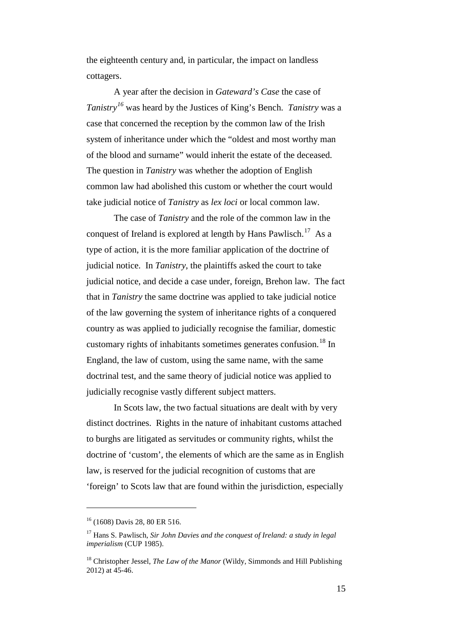the eighteenth century and, in particular, the impact on landless cottagers.

A year after the decision in *Gateward's Case* the case of *Tanistry[16](#page-14-0)* was heard by the Justices of King's Bench. *Tanistry* was a case that concerned the reception by the common law of the Irish system of inheritance under which the "oldest and most worthy man of the blood and surname" would inherit the estate of the deceased. The question in *Tanistry* was whether the adoption of English common law had abolished this custom or whether the court would take judicial notice of *Tanistry* as *lex loci* or local common law.

The case of *Tanistry* and the role of the common law in the conquest of Ireland is explored at length by Hans Pawlisch. [17](#page-14-1) As a type of action, it is the more familiar application of the doctrine of judicial notice. In *Tanistry*, the plaintiffs asked the court to take judicial notice, and decide a case under, foreign, Brehon law. The fact that in *Tanistry* the same doctrine was applied to take judicial notice of the law governing the system of inheritance rights of a conquered country as was applied to judicially recognise the familiar, domestic customary rights of inhabitants sometimes generates confusion.<sup>[18](#page-14-2)</sup> In England, the law of custom, using the same name, with the same doctrinal test, and the same theory of judicial notice was applied to judicially recognise vastly different subject matters.

In Scots law, the two factual situations are dealt with by very distinct doctrines. Rights in the nature of inhabitant customs attached to burghs are litigated as servitudes or community rights, whilst the doctrine of 'custom', the elements of which are the same as in English law, is reserved for the judicial recognition of customs that are 'foreign' to Scots law that are found within the jurisdiction, especially

<span id="page-14-0"></span><sup>16</sup> (1608) Davis 28, 80 ER 516.

<span id="page-14-1"></span><sup>17</sup> Hans S. Pawlisch, *Sir John Davies and the conquest of Ireland: a study in legal imperialism* (CUP 1985).

<span id="page-14-2"></span><sup>18</sup> Christopher Jessel, *The Law of the Manor* (Wildy, Simmonds and Hill Publishing 2012) at 45-46.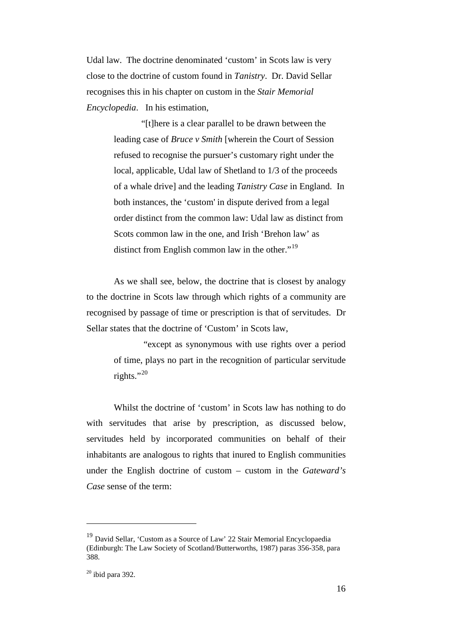Udal law. The doctrine denominated 'custom' in Scots law is very close to the doctrine of custom found in *Tanistry*. Dr. David Sellar recognises this in his chapter on custom in the *Stair Memorial Encyclopedia*. In his estimation,

> "[t]here is a clear parallel to be drawn between the leading case of *Bruce v Smith* [wherein the Court of Session refused to recognise the pursuer's customary right under the local, applicable, Udal law of Shetland to 1/3 of the proceeds of a whale drive] and the leading *Tanistry Case* in England. In both instances, the 'custom' in dispute derived from a legal order distinct from the common law: Udal law as distinct from Scots common law in the one, and Irish 'Brehon law' as distinct from English common law in the other."<sup>[19](#page-15-0)</sup>

As we shall see, below, the doctrine that is closest by analogy to the doctrine in Scots law through which rights of a community are recognised by passage of time or prescription is that of servitudes. Dr Sellar states that the doctrine of 'Custom' in Scots law,

> "except as synonymous with use rights over a period of time, plays no part in the recognition of particular servitude rights." $^{20}$  $^{20}$  $^{20}$

Whilst the doctrine of 'custom' in Scots law has nothing to do with servitudes that arise by prescription, as discussed below, servitudes held by incorporated communities on behalf of their inhabitants are analogous to rights that inured to English communities under the English doctrine of custom – custom in the *Gateward's Case* sense of the term:

<span id="page-15-0"></span><sup>19</sup> David Sellar, 'Custom as a Source of Law' 22 Stair Memorial Encyclopaedia (Edinburgh: The Law Society of Scotland/Butterworths, 1987) paras 356-358, para 388.

<span id="page-15-1"></span> $20$  ibid para 392.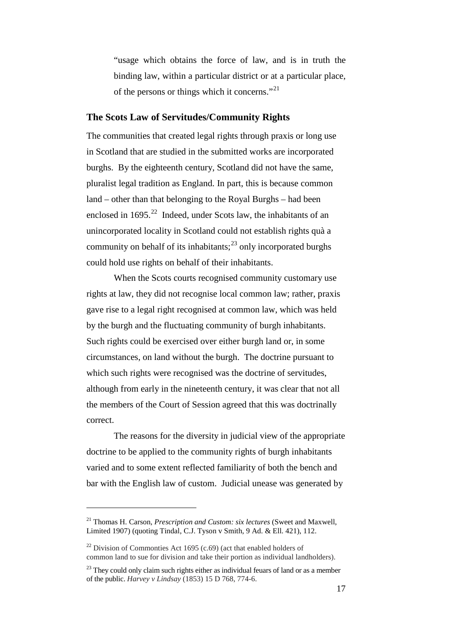"usage which obtains the force of law, and is in truth the binding law, within a particular district or at a particular place, of the persons or things which it concerns."[21](#page-16-1)

#### <span id="page-16-0"></span>**The Scots Law of Servitudes/Community Rights**

The communities that created legal rights through praxis or long use in Scotland that are studied in the submitted works are incorporated burghs. By the eighteenth century, Scotland did not have the same, pluralist legal tradition as England. In part, this is because common land – other than that belonging to the Royal Burghs – had been enclosed in  $1695<sup>22</sup>$  $1695<sup>22</sup>$  $1695<sup>22</sup>$  Indeed, under Scots law, the inhabitants of an unincorporated locality in Scotland could not establish rights quà a community on behalf of its inhabitants; $^{23}$  $^{23}$  $^{23}$  only incorporated burghs could hold use rights on behalf of their inhabitants.

When the Scots courts recognised community customary use rights at law, they did not recognise local common law; rather, praxis gave rise to a legal right recognised at common law, which was held by the burgh and the fluctuating community of burgh inhabitants. Such rights could be exercised over either burgh land or, in some circumstances, on land without the burgh. The doctrine pursuant to which such rights were recognised was the doctrine of servitudes, although from early in the nineteenth century, it was clear that not all the members of the Court of Session agreed that this was doctrinally correct.

The reasons for the diversity in judicial view of the appropriate doctrine to be applied to the community rights of burgh inhabitants varied and to some extent reflected familiarity of both the bench and bar with the English law of custom. Judicial unease was generated by

<span id="page-16-1"></span><sup>21</sup> Thomas H. Carson, *Prescription and Custom: six lectures* (Sweet and Maxwell, Limited 1907) (quoting Tindal, C.J. Tyson v Smith, 9 Ad. & Ell. 421), 112.

<span id="page-16-2"></span><sup>&</sup>lt;sup>22</sup> Division of Commonties Act 1695 (c.69) (act that enabled holders of common land to sue for division and take their portion as individual landholders).

<span id="page-16-3"></span> $23$  They could only claim such rights either as individual feuars of land or as a member of the public. *Harvey v Lindsay* (1853) 15 D 768, 774-6.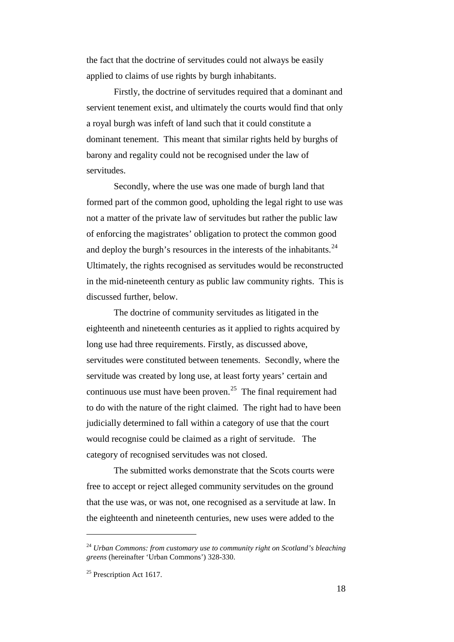the fact that the doctrine of servitudes could not always be easily applied to claims of use rights by burgh inhabitants.

Firstly, the doctrine of servitudes required that a dominant and servient tenement exist, and ultimately the courts would find that only a royal burgh was infeft of land such that it could constitute a dominant tenement. This meant that similar rights held by burghs of barony and regality could not be recognised under the law of servitudes.

Secondly, where the use was one made of burgh land that formed part of the common good, upholding the legal right to use was not a matter of the private law of servitudes but rather the public law of enforcing the magistrates' obligation to protect the common good and deploy the burgh's resources in the interests of the inhabitants.  $24$ Ultimately, the rights recognised as servitudes would be reconstructed in the mid-nineteenth century as public law community rights. This is discussed further, below.

The doctrine of community servitudes as litigated in the eighteenth and nineteenth centuries as it applied to rights acquired by long use had three requirements. Firstly, as discussed above, servitudes were constituted between tenements. Secondly, where the servitude was created by long use, at least forty years' certain and continuous use must have been proven.<sup>25</sup> The final requirement had to do with the nature of the right claimed. The right had to have been judicially determined to fall within a category of use that the court would recognise could be claimed as a right of servitude. The category of recognised servitudes was not closed.

The submitted works demonstrate that the Scots courts were free to accept or reject alleged community servitudes on the ground that the use was, or was not, one recognised as a servitude at law. In the eighteenth and nineteenth centuries, new uses were added to the

<span id="page-17-0"></span><sup>24</sup> *Urban Commons: from customary use to community right on Scotland's bleaching greens* (hereinafter 'Urban Commons') 328-330.

<span id="page-17-1"></span> $25$  Prescription Act 1617.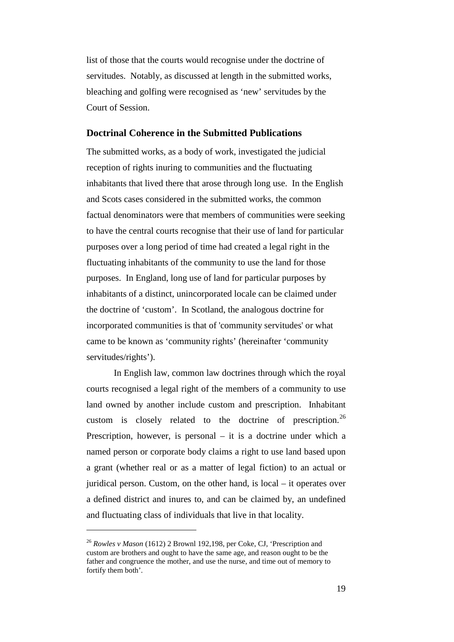list of those that the courts would recognise under the doctrine of servitudes. Notably, as discussed at length in the submitted works, bleaching and golfing were recognised as 'new' servitudes by the Court of Session.

#### <span id="page-18-0"></span>**Doctrinal Coherence in the Submitted Publications**

The submitted works, as a body of work, investigated the judicial reception of rights inuring to communities and the fluctuating inhabitants that lived there that arose through long use. In the English and Scots cases considered in the submitted works, the common factual denominators were that members of communities were seeking to have the central courts recognise that their use of land for particular purposes over a long period of time had created a legal right in the fluctuating inhabitants of the community to use the land for those purposes. In England, long use of land for particular purposes by inhabitants of a distinct, unincorporated locale can be claimed under the doctrine of 'custom'. In Scotland, the analogous doctrine for incorporated communities is that of 'community servitudes' or what came to be known as 'community rights' (hereinafter 'community servitudes/rights').

In English law, common law doctrines through which the royal courts recognised a legal right of the members of a community to use land owned by another include custom and prescription. Inhabitant custom is closely related to the doctrine of prescription.<sup>26</sup> Prescription, however, is personal – it is a doctrine under which a named person or corporate body claims a right to use land based upon a grant (whether real or as a matter of legal fiction) to an actual or juridical person. Custom, on the other hand, is local – it operates over a defined district and inures to, and can be claimed by, an undefined and fluctuating class of individuals that live in that locality.

<span id="page-18-1"></span><sup>26</sup> *Rowles v Mason* (1612) 2 Brownl 192,198, per Coke, CJ, 'Prescription and custom are brothers and ought to have the same age, and reason ought to be the father and congruence the mother, and use the nurse, and time out of memory to fortify them both'.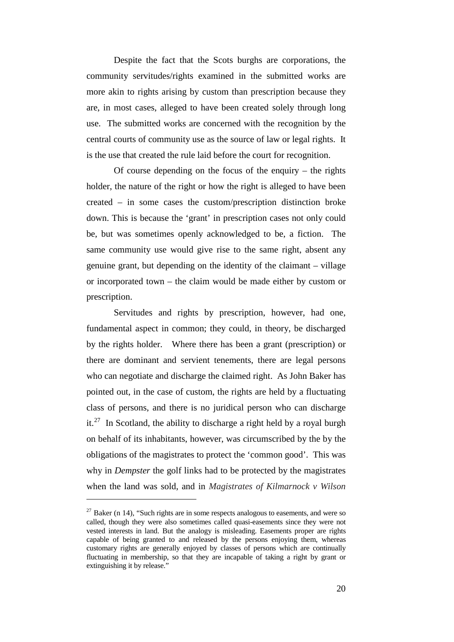Despite the fact that the Scots burghs are corporations, the community servitudes/rights examined in the submitted works are more akin to rights arising by custom than prescription because they are, in most cases, alleged to have been created solely through long use. The submitted works are concerned with the recognition by the central courts of community use as the source of law or legal rights. It is the use that created the rule laid before the court for recognition.

Of course depending on the focus of the enquiry  $-$  the rights holder, the nature of the right or how the right is alleged to have been created – in some cases the custom/prescription distinction broke down. This is because the 'grant' in prescription cases not only could be, but was sometimes openly acknowledged to be, a fiction. The same community use would give rise to the same right, absent any genuine grant, but depending on the identity of the claimant – village or incorporated town – the claim would be made either by custom or prescription.

Servitudes and rights by prescription, however, had one, fundamental aspect in common; they could, in theory, be discharged by the rights holder. Where there has been a grant (prescription) or there are dominant and servient tenements, there are legal persons who can negotiate and discharge the claimed right. As John Baker has pointed out, in the case of custom, the rights are held by a fluctuating class of persons, and there is no juridical person who can discharge it.<sup>27</sup> In Scotland, the ability to discharge a right held by a royal burgh on behalf of its inhabitants, however, was circumscribed by the by the obligations of the magistrates to protect the 'common good'. This was why in *Dempster* the golf links had to be protected by the magistrates when the land was sold, and in *Magistrates of Kilmarnock v Wilson*

<span id="page-19-0"></span> $27$  Baker (n 14), "Such rights are in some respects analogous to easements, and were so called, though they were also sometimes called quasi-easements since they were not vested interests in land. But the analogy is misleading. Easements proper are rights capable of being granted to and released by the persons enjoying them, whereas customary rights are generally enjoyed by classes of persons which are continually fluctuating in membership, so that they are incapable of taking a right by grant or extinguishing it by release."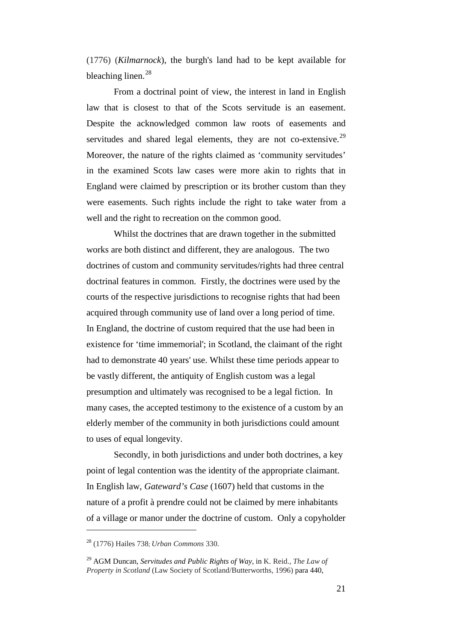(1776) (*Kilmarnock*), the burgh's land had to be kept available for bleaching linen. $^{28}$  $^{28}$  $^{28}$ 

From a doctrinal point of view, the interest in land in English law that is closest to that of the Scots servitude is an easement. Despite the acknowledged common law roots of easements and servitudes and shared legal elements, they are not co-extensive. $2<sup>9</sup>$ Moreover, the nature of the rights claimed as 'community servitudes' in the examined Scots law cases were more akin to rights that in England were claimed by prescription or its brother custom than they were easements. Such rights include the right to take water from a well and the right to recreation on the common good.

Whilst the doctrines that are drawn together in the submitted works are both distinct and different, they are analogous. The two doctrines of custom and community servitudes/rights had three central doctrinal features in common. Firstly, the doctrines were used by the courts of the respective jurisdictions to recognise rights that had been acquired through community use of land over a long period of time. In England, the doctrine of custom required that the use had been in existence for 'time immemorial'; in Scotland, the claimant of the right had to demonstrate 40 years' use. Whilst these time periods appear to be vastly different, the antiquity of English custom was a legal presumption and ultimately was recognised to be a legal fiction. In many cases, the accepted testimony to the existence of a custom by an elderly member of the community in both jurisdictions could amount to uses of equal longevity.

Secondly, in both jurisdictions and under both doctrines, a key point of legal contention was the identity of the appropriate claimant. In English law, *Gateward's Case* (1607) held that customs in the nature of a profit à prendre could not be claimed by mere inhabitants of a village or manor under the doctrine of custom. Only a copyholder

<span id="page-20-0"></span><sup>28</sup> (1776) Hailes 738; *Urban Commons* 330.

<span id="page-20-1"></span><sup>29</sup> AGM Duncan, *Servitudes and Public Rights of Way*, in K. Reid., *The Law of Property in Scotland* (Law Society of Scotland/Butterworths, 1996) para 440,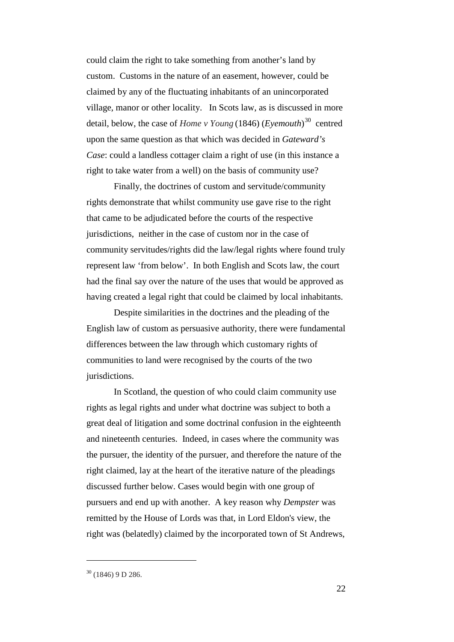could claim the right to take something from another's land by custom. Customs in the nature of an easement, however, could be claimed by any of the fluctuating inhabitants of an unincorporated village, manor or other locality. In Scots law, as is discussed in more detail, below, the case of *Home v Young* (1846) (*Eyemouth*) [30](#page-21-0) centred upon the same question as that which was decided in *Gateward's Case*: could a landless cottager claim a right of use (in this instance a right to take water from a well) on the basis of community use?

Finally, the doctrines of custom and servitude/community rights demonstrate that whilst community use gave rise to the right that came to be adjudicated before the courts of the respective jurisdictions, neither in the case of custom nor in the case of community servitudes/rights did the law/legal rights where found truly represent law 'from below'. In both English and Scots law, the court had the final say over the nature of the uses that would be approved as having created a legal right that could be claimed by local inhabitants.

Despite similarities in the doctrines and the pleading of the English law of custom as persuasive authority, there were fundamental differences between the law through which customary rights of communities to land were recognised by the courts of the two jurisdictions.

In Scotland, the question of who could claim community use rights as legal rights and under what doctrine was subject to both a great deal of litigation and some doctrinal confusion in the eighteenth and nineteenth centuries. Indeed, in cases where the community was the pursuer, the identity of the pursuer, and therefore the nature of the right claimed, lay at the heart of the iterative nature of the pleadings discussed further below. Cases would begin with one group of pursuers and end up with another. A key reason why *Dempster* was remitted by the House of Lords was that, in Lord Eldon's view, the right was (belatedly) claimed by the incorporated town of St Andrews,

<span id="page-21-0"></span> $30$  (1846) 9 D 286.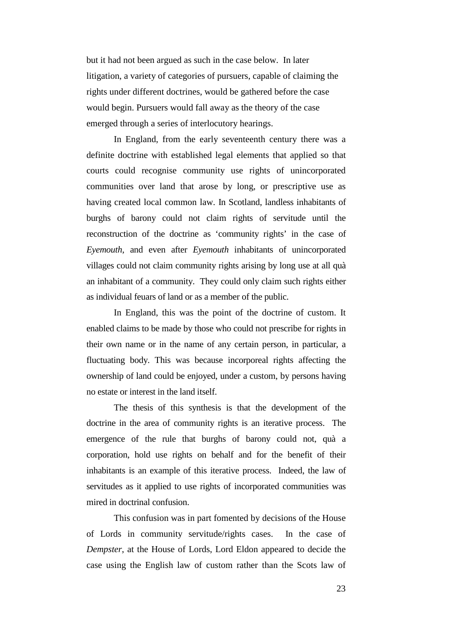but it had not been argued as such in the case below. In later litigation, a variety of categories of pursuers, capable of claiming the rights under different doctrines, would be gathered before the case would begin. Pursuers would fall away as the theory of the case emerged through a series of interlocutory hearings.

In England, from the early seventeenth century there was a definite doctrine with established legal elements that applied so that courts could recognise community use rights of unincorporated communities over land that arose by long, or prescriptive use as having created local common law. In Scotland, landless inhabitants of burghs of barony could not claim rights of servitude until the reconstruction of the doctrine as 'community rights' in the case of *Eyemouth*, and even after *Eyemouth* inhabitants of unincorporated villages could not claim community rights arising by long use at all quà an inhabitant of a community. They could only claim such rights either as individual feuars of land or as a member of the public.

In England, this was the point of the doctrine of custom. It enabled claims to be made by those who could not prescribe for rights in their own name or in the name of any certain person, in particular, a fluctuating body. This was because incorporeal rights affecting the ownership of land could be enjoyed, under a custom, by persons having no estate or interest in the land itself.

The thesis of this synthesis is that the development of the doctrine in the area of community rights is an iterative process. The emergence of the rule that burghs of barony could not, quà a corporation, hold use rights on behalf and for the benefit of their inhabitants is an example of this iterative process. Indeed, the law of servitudes as it applied to use rights of incorporated communities was mired in doctrinal confusion.

This confusion was in part fomented by decisions of the House of Lords in community servitude/rights cases. In the case of *Dempster*, at the House of Lords, Lord Eldon appeared to decide the case using the English law of custom rather than the Scots law of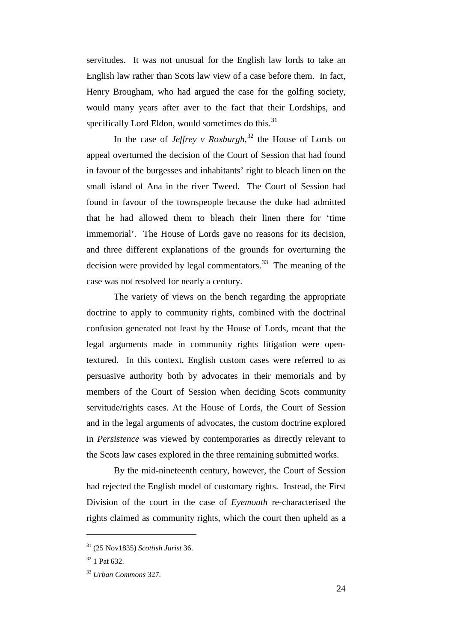servitudes. It was not unusual for the English law lords to take an English law rather than Scots law view of a case before them. In fact, Henry Brougham, who had argued the case for the golfing society, would many years after aver to the fact that their Lordships, and specifically Lord Eldon, would sometimes do this. $31$ 

In the case of *Jeffrey v Roxburgh*, [32](#page-23-1) the House of Lords on appeal overturned the decision of the Court of Session that had found in favour of the burgesses and inhabitants' right to bleach linen on the small island of Ana in the river Tweed. The Court of Session had found in favour of the townspeople because the duke had admitted that he had allowed them to bleach their linen there for 'time immemorial'. The House of Lords gave no reasons for its decision, and three different explanations of the grounds for overturning the decision were provided by legal commentators.<sup>33</sup> The meaning of the case was not resolved for nearly a century.

The variety of views on the bench regarding the appropriate doctrine to apply to community rights, combined with the doctrinal confusion generated not least by the House of Lords, meant that the legal arguments made in community rights litigation were opentextured. In this context, English custom cases were referred to as persuasive authority both by advocates in their memorials and by members of the Court of Session when deciding Scots community servitude/rights cases. At the House of Lords, the Court of Session and in the legal arguments of advocates, the custom doctrine explored in *Persistence* was viewed by contemporaries as directly relevant to the Scots law cases explored in the three remaining submitted works.

By the mid-nineteenth century, however, the Court of Session had rejected the English model of customary rights. Instead, the First Division of the court in the case of *Eyemouth* re-characterised the rights claimed as community rights, which the court then upheld as a

<span id="page-23-0"></span><sup>31</sup> (25 Nov1835) *Scottish Jurist* 36.

<span id="page-23-1"></span> $32$  1 Pat 632.

<span id="page-23-2"></span><sup>33</sup> *Urban Commons* 327.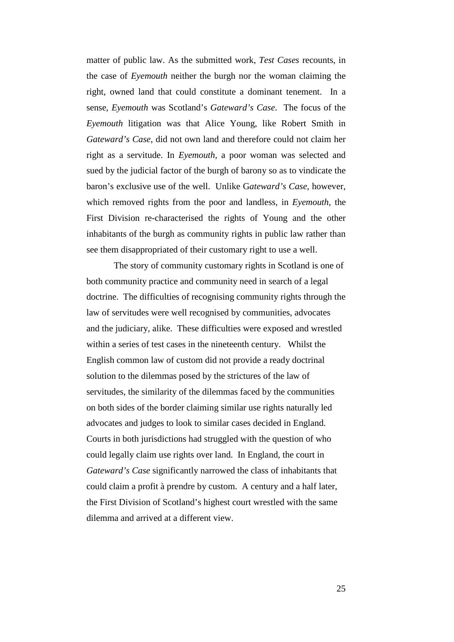matter of public law. As the submitted work, *Test Cases* recounts, in the case of *Eyemouth* neither the burgh nor the woman claiming the right, owned land that could constitute a dominant tenement. In a sense, *Eyemouth* was Scotland's *Gateward's Case*. The focus of the *Eyemouth* litigation was that Alice Young, like Robert Smith in *Gateward's Case*, did not own land and therefore could not claim her right as a servitude. In *Eyemouth*, a poor woman was selected and sued by the judicial factor of the burgh of barony so as to vindicate the baron's exclusive use of the well. Unlike G*ateward's Case*, however, which removed rights from the poor and landless, in *Eyemouth*, the First Division re-characterised the rights of Young and the other inhabitants of the burgh as community rights in public law rather than see them disappropriated of their customary right to use a well.

The story of community customary rights in Scotland is one of both community practice and community need in search of a legal doctrine. The difficulties of recognising community rights through the law of servitudes were well recognised by communities, advocates and the judiciary, alike. These difficulties were exposed and wrestled within a series of test cases in the nineteenth century. Whilst the English common law of custom did not provide a ready doctrinal solution to the dilemmas posed by the strictures of the law of servitudes, the similarity of the dilemmas faced by the communities on both sides of the border claiming similar use rights naturally led advocates and judges to look to similar cases decided in England. Courts in both jurisdictions had struggled with the question of who could legally claim use rights over land. In England, the court in *Gateward's Case* significantly narrowed the class of inhabitants that could claim a profit à prendre by custom. A century and a half later, the First Division of Scotland's highest court wrestled with the same dilemma and arrived at a different view.

25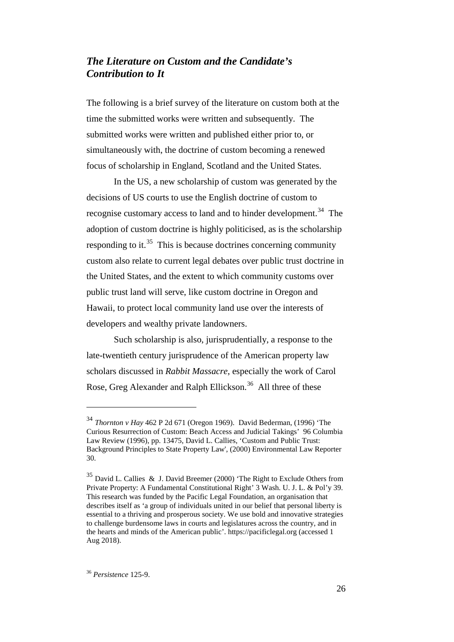## <span id="page-25-0"></span>*The Literature on Custom and the Candidate's Contribution to It*

The following is a brief survey of the literature on custom both at the time the submitted works were written and subsequently. The submitted works were written and published either prior to, or simultaneously with, the doctrine of custom becoming a renewed focus of scholarship in England, Scotland and the United States.

In the US, a new scholarship of custom was generated by the decisions of US courts to use the English doctrine of custom to recognise customary access to land and to hinder development.<sup>[34](#page-25-1)</sup> The adoption of custom doctrine is highly politicised, as is the scholarship responding to it.<sup>[35](#page-25-2)</sup> This is because doctrines concerning community custom also relate to current legal debates over public trust doctrine in the United States, and the extent to which community customs over public trust land will serve, like custom doctrine in Oregon and Hawaii, to protect local community land use over the interests of developers and wealthy private landowners.

Such scholarship is also, jurisprudentially, a response to the late-twentieth century jurisprudence of the American property law scholars discussed in *Rabbit Massacre*, especially the work of Carol Rose, Greg Alexander and Ralph Ellickson.<sup>[36](#page-25-3)</sup> All three of these

<span id="page-25-1"></span><sup>34</sup> *Thornton v Hay* 462 P 2d 671 (Oregon 1969). David Bederman, (1996) 'The Curious Resurrection of Custom: Beach Access and Judicial Takings' 96 Columbia Law Review (1996), pp. 13475, David L. Callies, 'Custom and Public Trust: Background Principles to State Property Law', (2000) Environmental Law Reporter 30.

<span id="page-25-3"></span><span id="page-25-2"></span><sup>35</sup> David L. Callies & J. David Breemer (2000) 'The Right to Exclude Others from Private Property: A Fundamental Constitutional Right' 3 Wash. U. J. L. & Pol'y 39. This research was funded by the Pacific Legal Foundation, an organisation that describes itself as 'a group of individuals united in our belief that personal liberty is essential to a thriving and prosperous society. We use bold and innovative strategies to challenge burdensome laws in courts and legislatures across the country, and in the hearts and minds of the American public'. [https://pacificlegal.org](https://pacificlegal.org/) (accessed 1 Aug 2018).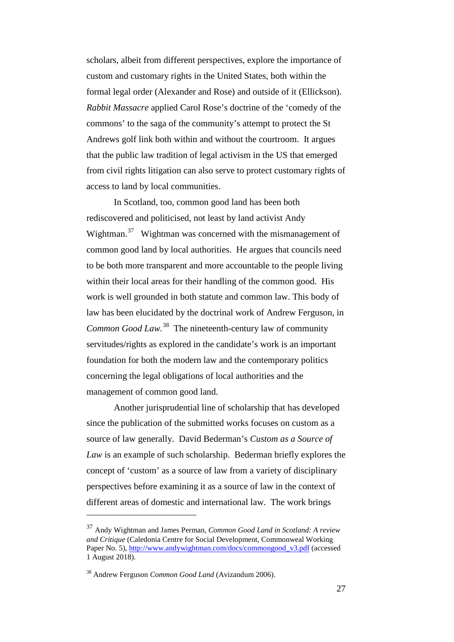scholars, albeit from different perspectives, explore the importance of custom and customary rights in the United States, both within the formal legal order (Alexander and Rose) and outside of it (Ellickson). *Rabbit Massacre* applied Carol Rose's doctrine of the 'comedy of the commons' to the saga of the community's attempt to protect the St Andrews golf link both within and without the courtroom. It argues that the public law tradition of legal activism in the US that emerged from civil rights litigation can also serve to protect customary rights of access to land by local communities.

In Scotland, too, common good land has been both rediscovered and politicised, not least by land activist Andy Wightman.<sup>37</sup> Wightman was concerned with the mismanagement of common good land by local authorities. He argues that councils need to be both more transparent and more accountable to the people living within their local areas for their handling of the common good. His work is well grounded in both statute and common law. This body of law has been elucidated by the doctrinal work of Andrew Ferguson, in *Common Good Law.* [38](#page-26-1) The nineteenth-century law of community servitudes/rights as explored in the candidate's work is an important foundation for both the modern law and the contemporary politics concerning the legal obligations of local authorities and the management of common good land.

Another jurisprudential line of scholarship that has developed since the publication of the submitted works focuses on custom as a source of law generally. David Bederman's *Custom as a Source of Law* is an example of such scholarship. Bederman briefly explores the concept of 'custom' as a source of law from a variety of disciplinary perspectives before examining it as a source of law in the context of different areas of domestic and international law. The work brings

<span id="page-26-0"></span><sup>37</sup> Andy Wightman and James Perman, *Common Good Land in Scotland: A review and Critique* (Caledonia Centre for Social Development, Commonweal Working Paper No. 5), [http://www.andywightman.com/docs/commongood\\_v3.pdf](http://www.andywightman.com/docs/commongood_v3.pdf) (accessed 1 August 2018).

<span id="page-26-1"></span><sup>38</sup> Andrew Ferguson *Common Good Land* (Avizandum 2006).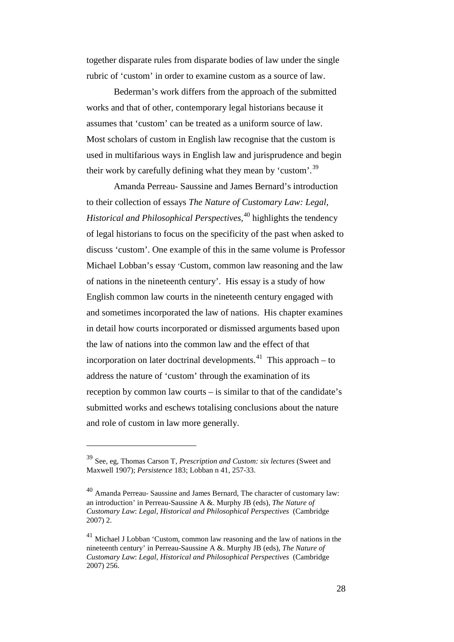together disparate rules from disparate bodies of law under the single rubric of 'custom' in order to examine custom as a source of law.

Bederman's work differs from the approach of the submitted works and that of other, contemporary legal historians because it assumes that 'custom' can be treated as a uniform source of law. Most scholars of custom in English law recognise that the custom is used in multifarious ways in English law and jurisprudence and begin their work by carefully defining what they mean by 'custom'.<sup>39</sup>

Amanda Perreau- Saussine and James Bernard's introduction to their collection of essays *The Nature of Customary Law: Legal, Historical and Philosophical Perspectives*, [40](#page-27-1) highlights the tendency of legal historians to focus on the specificity of the past when asked to discuss 'custom'. One example of this in the same volume is Professor Michael Lobban's essay 'Custom, common law reasoning and the law of nations in the nineteenth century'. His essay is a study of how English common law courts in the nineteenth century engaged with and sometimes incorporated the law of nations. His chapter examines in detail how courts incorporated or dismissed arguments based upon the law of nations into the common law and the effect of that incorporation on later doctrinal developments.<sup>[41](#page-27-2)</sup> This approach – to address the nature of 'custom' through the examination of its reception by common law courts – is similar to that of the candidate's submitted works and eschews totalising conclusions about the nature and role of custom in law more generally.

<span id="page-27-0"></span><sup>39</sup> See, eg, Thomas Carson T, *Prescription and Custom: six lectures* (Sweet and Maxwell 1907); *Persistence* 183; Lobban n 41, 257-33.

<span id="page-27-1"></span><sup>40</sup> Amanda Perreau- Saussine and James Bernard, The character of customary law: an introduction' in Perreau-Saussine A &. Murphy JB (eds), *The Nature of Customary Law*: *Legal, Historical and Philosophical Perspectives* (Cambridge 2007) 2.

<span id="page-27-2"></span><sup>41</sup> Michael J Lobban 'Custom, common law reasoning and the law of nations in the nineteenth century' in Perreau-Saussine A &. Murphy JB (eds), *The Nature of Customary Law*: *Legal, Historical and Philosophical Perspectives* (Cambridge 2007) 256.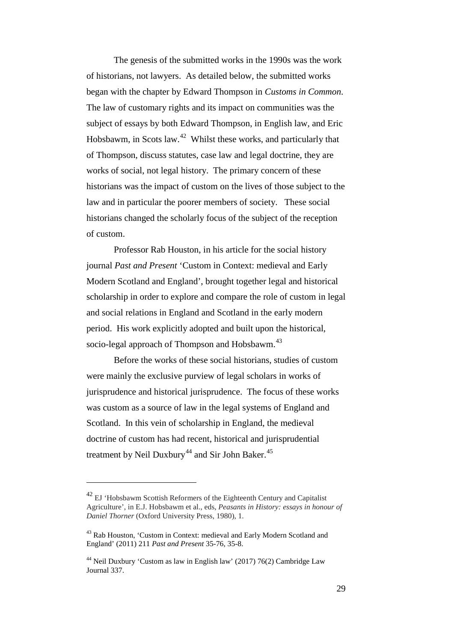The genesis of the submitted works in the 1990s was the work of historians, not lawyers. As detailed below, the submitted works began with the chapter by Edward Thompson in *Customs in Common*. The law of customary rights and its impact on communities was the subject of essays by both Edward Thompson, in English law, and Eric Hobsbawm, in Scots law.<sup>[42](#page-28-0)</sup> Whilst these works, and particularly that of Thompson, discuss statutes, case law and legal doctrine, they are works of social, not legal history. The primary concern of these historians was the impact of custom on the lives of those subject to the law and in particular the poorer members of society. These social historians changed the scholarly focus of the subject of the reception of custom.

Professor Rab Houston, in his article for the social history journal *Past and Present* 'Custom in Context: medieval and Early Modern Scotland and England', brought together legal and historical scholarship in order to explore and compare the role of custom in legal and social relations in England and Scotland in the early modern period. His work explicitly adopted and built upon the historical, socio-legal approach of Thompson and Hobsbawm.<sup>[43](#page-28-1)</sup>

Before the works of these social historians, studies of custom were mainly the exclusive purview of legal scholars in works of jurisprudence and historical jurisprudence. The focus of these works was custom as a source of law in the legal systems of England and Scotland. In this vein of scholarship in England, the medieval doctrine of custom has had recent, historical and jurisprudential treatment by Neil Duxbury<sup>[44](#page-28-2)</sup> and Sir John Baker.<sup>[45](#page-28-3)</sup>

<span id="page-28-3"></span><span id="page-28-0"></span> $^{42}$  EJ 'Hobsbawm Scottish Reformers of the Eighteenth Century and Capitalist Agriculture', in E.J. Hobsbawm et al., eds, *Peasants in History: essays in honour of Daniel Thorner* (Oxford University Press, 1980), 1.

<span id="page-28-1"></span><sup>&</sup>lt;sup>43</sup> Rab Houston, 'Custom in Context: medieval and Early Modern Scotland and England' (2011) 211 *Past and Present* 35-76, 35-8.

<span id="page-28-2"></span><sup>&</sup>lt;sup>44</sup> Neil Duxbury 'Custom as law in English law' (2017) 76(2) Cambridge Law Journal 337.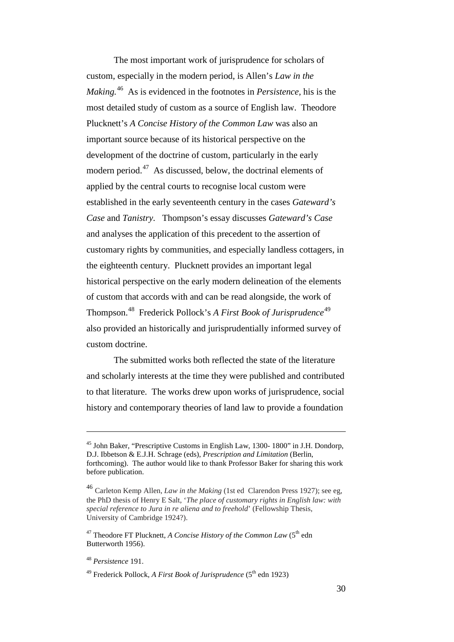The most important work of jurisprudence for scholars of custom, especially in the modern period, is Allen's *Law in the Making.*[46](#page-29-0) As is evidenced in the footnotes in *Persistence,* his is the most detailed study of custom as a source of English law. Theodore Plucknett's *A Concise History of the Common Law* was also an important source because of its historical perspective on the development of the doctrine of custom, particularly in the early modern period.<sup>[47](#page-29-1)</sup> As discussed, below, the doctrinal elements of applied by the central courts to recognise local custom were established in the early seventeenth century in the cases *Gateward's Case* and *Tanistry*. Thompson's essay discusses *Gateward's Case* and analyses the application of this precedent to the assertion of customary rights by communities, and especially landless cottagers, in the eighteenth century. Plucknett provides an important legal historical perspective on the early modern delineation of the elements of custom that accords with and can be read alongside, the work of Thompson.[48](#page-29-2) Frederick Pollock's *A First Book of Jurisprudence*[49](#page-29-3) also provided an historically and jurisprudentially informed survey of custom doctrine.

The submitted works both reflected the state of the literature and scholarly interests at the time they were published and contributed to that literature. The works drew upon works of jurisprudence, social history and contemporary theories of land law to provide a foundation

<sup>45</sup> John Baker, "Prescriptive Customs in English Law, 1300- 1800" in J.H. Dondorp, D.J. Ibbetson & E.J.H. Schrage (eds), *Prescription and Limitation* (Berlin, forthcoming). The author would like to thank Professor Baker for sharing this work before publication.

<span id="page-29-0"></span><sup>46</sup> Carleton Kemp Allen, *Law in the Making* (1st ed Clarendon Press 1927); see eg, the PhD thesis of Henry E Salt, '*The place of customary rights in English law: with special reference to Jura in re aliena and to freehold*' (Fellowship Thesis, University of Cambridge 1924?).

<span id="page-29-1"></span><sup>&</sup>lt;sup>47</sup> Theodore FT Plucknett, *A Concise History of the Common Law*  $(5<sup>th</sup>$  edn Butterworth 1956).

<span id="page-29-2"></span><sup>48</sup> *Persistence* 191.

<span id="page-29-3"></span><sup>&</sup>lt;sup>49</sup> Frederick Pollock, *A First Book of Jurisprudence* (5<sup>th</sup> edn 1923)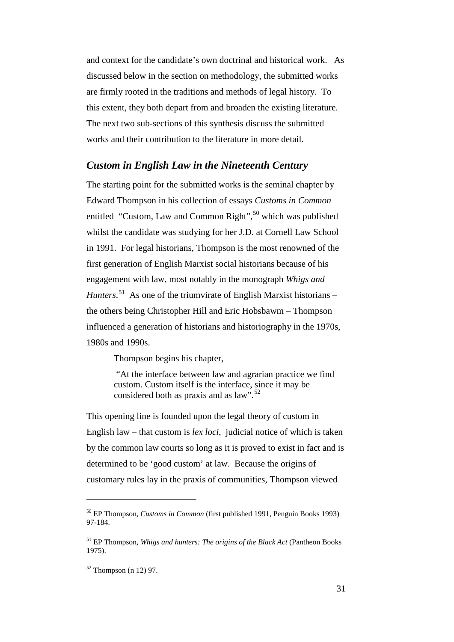and context for the candidate's own doctrinal and historical work. As discussed below in the section on methodology, the submitted works are firmly rooted in the traditions and methods of legal history. To this extent, they both depart from and broaden the existing literature. The next two sub-sections of this synthesis discuss the submitted works and their contribution to the literature in more detail.

#### <span id="page-30-0"></span>*Custom in English Law in the Nineteenth Century*

The starting point for the submitted works is the seminal chapter by Edward Thompson in his collection of essays *Customs in Common* entitled "Custom, Law and Common Right",  $50$  which was published whilst the candidate was studying for her J.D. at Cornell Law School in 1991. For legal historians, Thompson is the most renowned of the first generation of English Marxist social historians because of his engagement with law, most notably in the monograph *Whigs and Hunters*. [51](#page-30-2) As one of the triumvirate of English Marxist historians – the others being Christopher Hill and Eric Hobsbawm – Thompson influenced a generation of historians and historiography in the 1970s, 1980s and 1990s.

Thompson begins his chapter,

"At the interface between law and agrarian practice we find custom. Custom itself is the interface, since it may be considered both as praxis and as law".<sup>[52](#page-30-3)</sup>

This opening line is founded upon the legal theory of custom in English law – that custom is *lex loci*, judicial notice of which is taken by the common law courts so long as it is proved to exist in fact and is determined to be 'good custom' at law. Because the origins of customary rules lay in the praxis of communities, Thompson viewed

<span id="page-30-1"></span><sup>50</sup> EP Thompson, *Customs in Common* (first published 1991, Penguin Books 1993) 97-184.

<span id="page-30-2"></span><sup>51</sup> EP Thompson, *Whigs and hunters: The origins of the Black Act* (Pantheon Books 1975).

<span id="page-30-3"></span> $52$  Thompson (n 12) 97.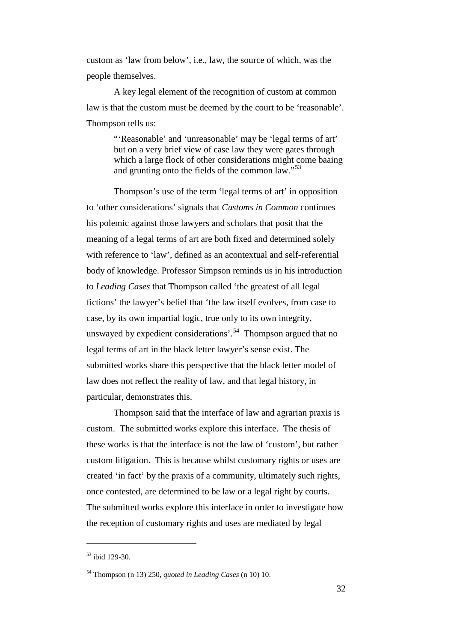custom as 'law from below', i.e., law, the source of which, was the people themselves.

A key legal element of the recognition of custom at common law is that the custom must be deemed by the court to be 'reasonable'. Thompson tells us:

> "'Reasonable' and 'unreasonable' may be 'legal terms of art' but on a very brief view of case law they were gates through which a large flock of other considerations might come baaing and grunting onto the fields of the common law."<sup>[53](#page-31-0)</sup>

Thompson's use of the term 'legal terms of art' in opposition to 'other considerations' signals that *Customs in Common* continues his polemic against those lawyers and scholars that posit that the meaning of a legal terms of art are both fixed and determined solely with reference to 'law', defined as an acontextual and self-referential body of knowledge. Professor Simpson reminds us in his introduction to *Leading Cases* that Thompson called 'the greatest of all legal fictions' the lawyer's belief that 'the law itself evolves, from case to case, by its own impartial logic, true only to its own integrity, unswayed by expedient considerations'.<sup>[54](#page-31-1)</sup> Thompson argued that no legal terms of art in the black letter lawyer's sense exist. The submitted works share this perspective that the black letter model of law does not reflect the reality of law, and that legal history, in particular, demonstrates this.

Thompson said that the interface of law and agrarian praxis is custom. The submitted works explore this interface. The thesis of these works is that the interface is not the law of 'custom', but rather custom litigation. This is because whilst customary rights or uses are created 'in fact' by the praxis of a community, ultimately such rights, once contested, are determined to be law or a legal right by courts. The submitted works explore this interface in order to investigate how the reception of customary rights and uses are mediated by legal

<span id="page-31-0"></span><sup>53</sup> ibid 129-30.

<span id="page-31-1"></span><sup>54</sup> Thompson (n 13) 250, *quoted in Leading Cases* (n 10) 10.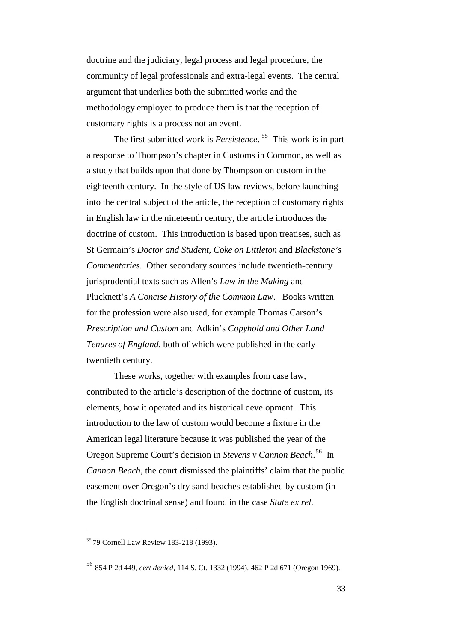doctrine and the judiciary, legal process and legal procedure, the community of legal professionals and extra-legal events. The central argument that underlies both the submitted works and the methodology employed to produce them is that the reception of customary rights is a process not an event.

The first submitted work is *Persistence*. [55](#page-32-0) This work is in part a response to Thompson's chapter in Customs in Common, as well as a study that builds upon that done by Thompson on custom in the eighteenth century. In the style of US law reviews, before launching into the central subject of the article, the reception of customary rights in English law in the nineteenth century, the article introduces the doctrine of custom. This introduction is based upon treatises, such as St Germain's *Doctor and Student*, *Coke on Littleton* and *Blackstone's Commentaries*. Other secondary sources include twentieth-century jurisprudential texts such as Allen's *Law in the Making* and Plucknett's *A Concise History of the Common Law*. Books written for the profession were also used, for example Thomas Carson's *Prescription and Custom* and Adkin's *Copyhold and Other Land Tenures of England,* both of which were published in the early twentieth century.

These works, together with examples from case law, contributed to the article's description of the doctrine of custom, its elements, how it operated and its historical development. This introduction to the law of custom would become a fixture in the American legal literature because it was published the year of the Oregon Supreme Court's decision in *Stevens v Cannon Beach*. [56](#page-32-1) In *Cannon Beach*, the court dismissed the plaintiffs' claim that the public easement over Oregon's dry sand beaches established by custom (in the English doctrinal sense) and found in the case *State ex rel.* 

<span id="page-32-0"></span><sup>55</sup> 79 Cornell Law Review 183-218 (1993).

<span id="page-32-1"></span><sup>56</sup> 854 P 2d 449, *cert denied*, 114 S. Ct. 1332 (1994). 462 P 2d 671 (Oregon 1969).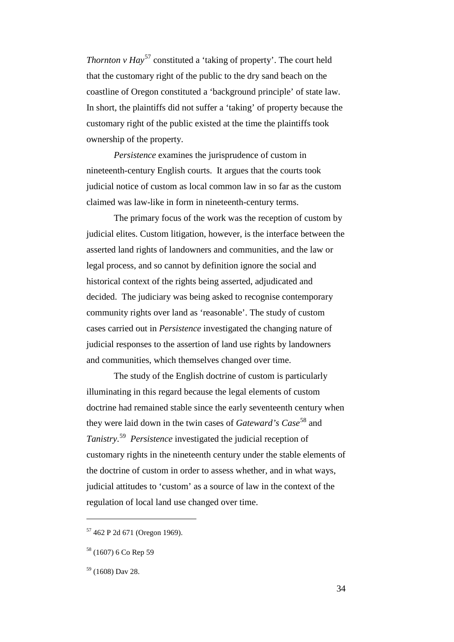*Thornton v Hay*<sup>[57](#page-33-0)</sup> constituted a 'taking of property'. The court held that the customary right of the public to the dry sand beach on the coastline of Oregon constituted a 'background principle' of state law. In short, the plaintiffs did not suffer a 'taking' of property because the customary right of the public existed at the time the plaintiffs took ownership of the property.

*Persistence* examines the jurisprudence of custom in nineteenth-century English courts. It argues that the courts took judicial notice of custom as local common law in so far as the custom claimed was law-like in form in nineteenth-century terms.

The primary focus of the work was the reception of custom by judicial elites. Custom litigation, however, is the interface between the asserted land rights of landowners and communities, and the law or legal process, and so cannot by definition ignore the social and historical context of the rights being asserted, adjudicated and decided. The judiciary was being asked to recognise contemporary community rights over land as 'reasonable'. The study of custom cases carried out in *Persistence* investigated the changing nature of judicial responses to the assertion of land use rights by landowners and communities, which themselves changed over time.

The study of the English doctrine of custom is particularly illuminating in this regard because the legal elements of custom doctrine had remained stable since the early seventeenth century when they were laid down in the twin cases of *Gateward's Case*<sup>[58](#page-33-1)</sup> and *Tanistry*. [59](#page-33-2) *Persistence* investigated the judicial reception of customary rights in the nineteenth century under the stable elements of the doctrine of custom in order to assess whether, and in what ways, judicial attitudes to 'custom' as a source of law in the context of the regulation of local land use changed over time.

<span id="page-33-0"></span><sup>57</sup> 462 P 2d 671 (Oregon 1969).

<span id="page-33-1"></span><sup>58</sup> (1607) 6 Co Rep 59

<span id="page-33-2"></span> $59$  (1608) Day 28.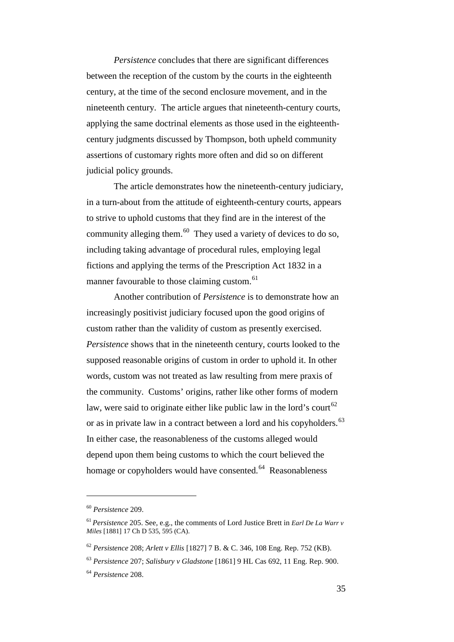*Persistence* concludes that there are significant differences between the reception of the custom by the courts in the eighteenth century, at the time of the second enclosure movement, and in the nineteenth century. The article argues that nineteenth-century courts, applying the same doctrinal elements as those used in the eighteenthcentury judgments discussed by Thompson, both upheld community assertions of customary rights more often and did so on different judicial policy grounds.

The article demonstrates how the nineteenth-century judiciary, in a turn-about from the attitude of eighteenth-century courts, appears to strive to uphold customs that they find are in the interest of the community alleging them. $60$  They used a variety of devices to do so, including taking advantage of procedural rules, employing legal fictions and applying the terms of the Prescription Act 1832 in a manner favourable to those claiming custom.<sup>61</sup>

Another contribution of *Persistence* is to demonstrate how an increasingly positivist judiciary focused upon the good origins of custom rather than the validity of custom as presently exercised. *Persistence* shows that in the nineteenth century, courts looked to the supposed reasonable origins of custom in order to uphold it. In other words, custom was not treated as law resulting from mere praxis of the community. Customs' origins, rather like other forms of modern law, were said to originate either like public law in the lord's court<sup>[62](#page-34-2)</sup> or as in private law in a contract between a lord and his copyholders.<sup>[63](#page-34-3)</sup> In either case, the reasonableness of the customs alleged would depend upon them being customs to which the court believed the homage or copyholders would have consented.<sup>[64](#page-34-4)</sup> Reasonableness

<span id="page-34-0"></span><sup>60</sup> *Persistence* 209.

<span id="page-34-1"></span><sup>61</sup> *Persistence* 205. See, e.g., the comments of Lord Justice Brett in *Earl De La Warr v Miles* [1881] 17 Ch D 535, 595 (CA).

<span id="page-34-2"></span><sup>62</sup> *Persistence* 208; *Arlett v Ellis* [1827] 7 B. & C. 346, 108 Eng. Rep. 752 (KB).

<span id="page-34-3"></span><sup>63</sup> *Persistence* 207; *Salisbury v Gladstone* [1861] 9 HL Cas 692, 11 Eng. Rep. 900.

<span id="page-34-4"></span><sup>64</sup> *Persistence* 208.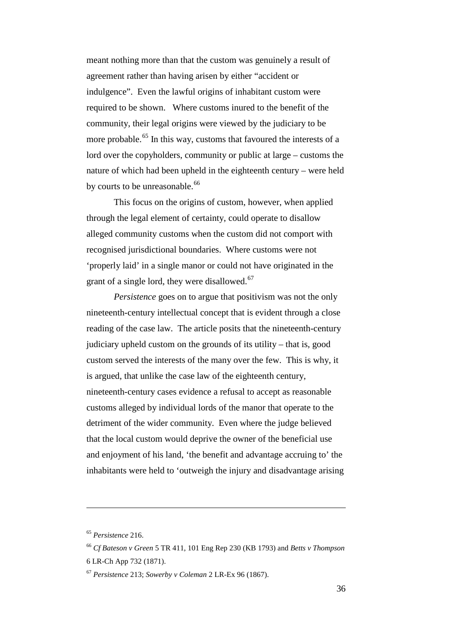meant nothing more than that the custom was genuinely a result of agreement rather than having arisen by either "accident or indulgence". Even the lawful origins of inhabitant custom were required to be shown. Where customs inured to the benefit of the community, their legal origins were viewed by the judiciary to be more probable.<sup>[65](#page-35-0)</sup> In this way, customs that favoured the interests of a lord over the copyholders, community or public at large – customs the nature of which had been upheld in the eighteenth century – were held by courts to be unreasonable.<sup>[66](#page-35-1)</sup>

This focus on the origins of custom, however, when applied through the legal element of certainty, could operate to disallow alleged community customs when the custom did not comport with recognised jurisdictional boundaries. Where customs were not 'properly laid' in a single manor or could not have originated in the grant of a single lord, they were disallowed.<sup>[67](#page-35-2)</sup>

*Persistence* goes on to argue that positivism was not the only nineteenth-century intellectual concept that is evident through a close reading of the case law. The article posits that the nineteenth-century judiciary upheld custom on the grounds of its utility – that is, good custom served the interests of the many over the few. This is why, it is argued, that unlike the case law of the eighteenth century, nineteenth-century cases evidence a refusal to accept as reasonable customs alleged by individual lords of the manor that operate to the detriment of the wider community. Even where the judge believed that the local custom would deprive the owner of the beneficial use and enjoyment of his land, 'the benefit and advantage accruing to' the inhabitants were held to 'outweigh the injury and disadvantage arising

<span id="page-35-0"></span><sup>65</sup> *Persistence* 216.

<span id="page-35-1"></span><sup>66</sup> *Cf Bateson v Green* 5 TR 411, 101 Eng Rep 230 (KB 1793) and *Betts v Thompson* 6 LR-Ch App 732 (1871).

<span id="page-35-2"></span><sup>67</sup> *Persistence* 213; *Sowerby v Coleman* 2 LR-Ex 96 (1867).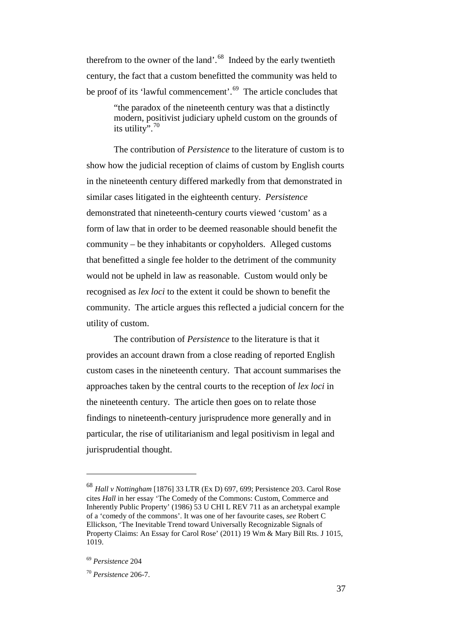therefrom to the owner of the land'.<sup>68</sup> Indeed by the early twentieth century, the fact that a custom benefitted the community was held to be proof of its 'lawful commencement'.<sup>[69](#page-36-1)</sup> The article concludes that

> "the paradox of the nineteenth century was that a distinctly modern, positivist judiciary upheld custom on the grounds of its utility"<sup>[70](#page-36-2)</sup>

The contribution of *Persistence* to the literature of custom is to show how the judicial reception of claims of custom by English courts in the nineteenth century differed markedly from that demonstrated in similar cases litigated in the eighteenth century. *Persistence*  demonstrated that nineteenth-century courts viewed 'custom' as a form of law that in order to be deemed reasonable should benefit the community – be they inhabitants or copyholders. Alleged customs that benefitted a single fee holder to the detriment of the community would not be upheld in law as reasonable. Custom would only be recognised as *lex loci* to the extent it could be shown to benefit the community. The article argues this reflected a judicial concern for the utility of custom.

The contribution of *Persistence* to the literature is that it provides an account drawn from a close reading of reported English custom cases in the nineteenth century. That account summarises the approaches taken by the central courts to the reception of *lex loci* in the nineteenth century. The article then goes on to relate those findings to nineteenth-century jurisprudence more generally and in particular, the rise of utilitarianism and legal positivism in legal and jurisprudential thought.

<span id="page-36-0"></span><sup>68</sup> *Hall v Nottingham* [1876] 33 LTR (Ex D) 697, 699; Persistence 203. Carol Rose cites *Hall* in her essay 'The Comedy of the Commons: Custom, Commerce and Inherently Public Property' (1986) 53 U CHI L REV 711 as an archetypal example of a 'comedy of the commons'. It was one of her favourite cases, *see* Robert C Ellickson, 'The Inevitable Trend toward Universally Recognizable Signals of Property Claims: An Essay for Carol Rose' (2011) 19 Wm & Mary Bill Rts. J 1015, 1019.

<span id="page-36-1"></span><sup>69</sup> *Persistence* 204

<span id="page-36-2"></span><sup>70</sup> *Persistence* 206-7.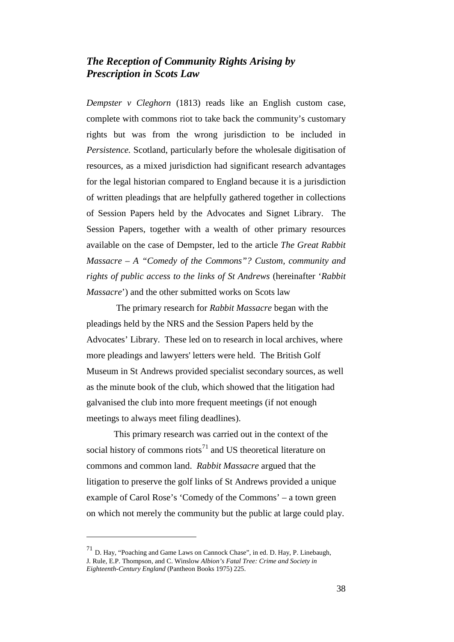## <span id="page-37-0"></span>*The Reception of Community Rights Arising by Prescription in Scots Law*

*Dempster v Cleghorn* (1813) reads like an English custom case, complete with commons riot to take back the community's customary rights but was from the wrong jurisdiction to be included in *Persistence.* Scotland, particularly before the wholesale digitisation of resources, as a mixed jurisdiction had significant research advantages for the legal historian compared to England because it is a jurisdiction of written pleadings that are helpfully gathered together in collections of Session Papers held by the Advocates and Signet Library. The Session Papers, together with a wealth of other primary resources available on the case of Dempster, led to the article *The Great Rabbit Massacre – A "Comedy of the Commons"? Custom, community and rights of public access to the links of St Andrews* (hereinafter '*Rabbit Massacre*') and the other submitted works on Scots law

The primary research for *Rabbit Massacre* began with the pleadings held by the NRS and the Session Papers held by the Advocates' Library. These led on to research in local archives, where more pleadings and lawyers' letters were held. The British Golf Museum in St Andrews provided specialist secondary sources, as well as the minute book of the club, which showed that the litigation had galvanised the club into more frequent meetings (if not enough meetings to always meet filing deadlines).

This primary research was carried out in the context of the social history of commons riots<sup> $71$ </sup> and US theoretical literature on commons and common land. *Rabbit Massacre* argued that the litigation to preserve the golf links of St Andrews provided a unique example of Carol Rose's 'Comedy of the Commons' – a town green on which not merely the community but the public at large could play.

<span id="page-37-1"></span><sup>71</sup> D. Hay, "Poaching and Game Laws on Cannock Chase", in ed. D. Hay, P. Linebaugh, J. Rule, E.P. Thompson, and C. Winslow *Albion's Fatal Tree: Crime and Society in Eighteenth-Century England* (Pantheon Books 1975) 225.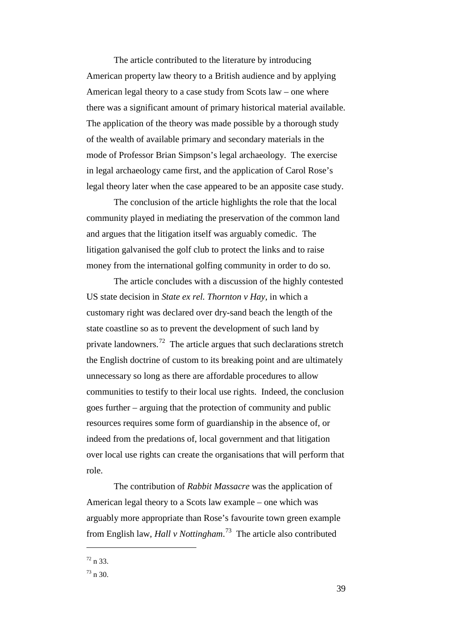The article contributed to the literature by introducing American property law theory to a British audience and by applying American legal theory to a case study from Scots law – one where there was a significant amount of primary historical material available. The application of the theory was made possible by a thorough study of the wealth of available primary and secondary materials in the mode of Professor Brian Simpson's legal archaeology. The exercise in legal archaeology came first, and the application of Carol Rose's legal theory later when the case appeared to be an apposite case study.

The conclusion of the article highlights the role that the local community played in mediating the preservation of the common land and argues that the litigation itself was arguably comedic. The litigation galvanised the golf club to protect the links and to raise money from the international golfing community in order to do so.

The article concludes with a discussion of the highly contested US state decision in *State ex rel. Thornton v Hay*, in which a customary right was declared over dry-sand beach the length of the state coastline so as to prevent the development of such land by private landowners.<sup>72</sup> The article argues that such declarations stretch the English doctrine of custom to its breaking point and are ultimately unnecessary so long as there are affordable procedures to allow communities to testify to their local use rights. Indeed, the conclusion goes further – arguing that the protection of community and public resources requires some form of guardianship in the absence of, or indeed from the predations of, local government and that litigation over local use rights can create the organisations that will perform that role.

The contribution of *Rabbit Massacre* was the application of American legal theory to a Scots law example – one which was arguably more appropriate than Rose's favourite town green example from English law, *Hall v Nottingham*. [73](#page-38-1) The article also contributed

<span id="page-38-0"></span> $72 n 33$ 

<span id="page-38-1"></span> $73$  n 30.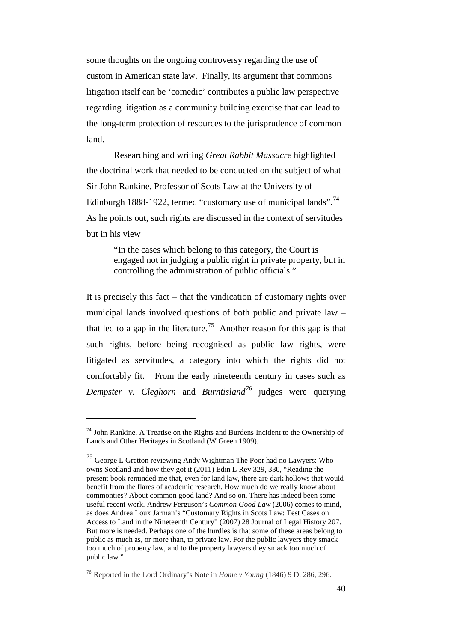some thoughts on the ongoing controversy regarding the use of custom in American state law. Finally, its argument that commons litigation itself can be 'comedic' contributes a public law perspective regarding litigation as a community building exercise that can lead to the long-term protection of resources to the jurisprudence of common land.

Researching and writing *Great Rabbit Massacre* highlighted the doctrinal work that needed to be conducted on the subject of what Sir John Rankine, Professor of Scots Law at the University of Edinburgh 1888-1922, termed "customary use of municipal lands".<sup>[74](#page-39-0)</sup> As he points out, such rights are discussed in the context of servitudes but in his view

> "In the cases which belong to this category, the Court is engaged not in judging a public right in private property, but in controlling the administration of public officials."

It is precisely this fact – that the vindication of customary rights over municipal lands involved questions of both public and private law – that led to a gap in the literature.<sup>[75](#page-39-1)</sup> Another reason for this gap is that such rights, before being recognised as public law rights, were litigated as servitudes, a category into which the rights did not comfortably fit. From the early nineteenth century in cases such as *Dempster v. Cleghorn* and *Burntisland[76](#page-39-2)* judges were querying

<span id="page-39-0"></span> $74$  John Rankine, A Treatise on the Rights and Burdens Incident to the Ownership of Lands and Other Heritages in Scotland (W Green 1909).

<span id="page-39-1"></span><sup>75</sup> George L Gretton reviewing Andy Wightman The Poor had no Lawyers: Who owns Scotland and how they got it (2011) Edin L Rev 329, 330, "Reading the present book reminded me that, even for land law, there are dark hollows that would benefit from the flares of academic research. How much do we really know about commonties? About common good land? And so on. There has indeed been some useful recent work. Andrew Ferguson's *Common Good Law* (2006) comes to mind, as does Andrea Loux Jarman's "Customary Rights in Scots Law: Test Cases on Access to Land in the Nineteenth Century" (2007) 28 Journal of Legal History 207. But more is needed. Perhaps one of the hurdles is that some of these areas belong to public as much as, or more than, to private law. For the public lawyers they smack too much of property law, and to the property lawyers they smack too much of public law."

<span id="page-39-2"></span><sup>76</sup> Reported in the Lord Ordinary's Note in *Home v Young* (1846) 9 D. 286, 296.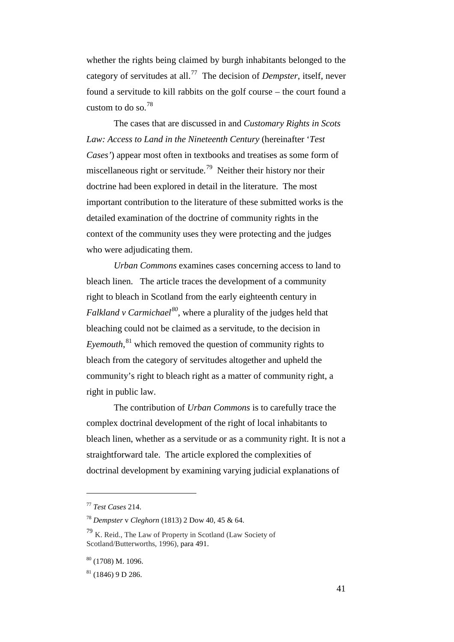whether the rights being claimed by burgh inhabitants belonged to the category of servitudes at all.[77](#page-40-0) The decision of *Dempster*, itself, never found a servitude to kill rabbits on the golf course – the court found a custom to do so.<sup>78</sup>

The cases that are discussed in and *Customary Rights in Scots Law: Access to Land in the Nineteenth Century* (hereinafter '*Test Cases'*) appear most often in textbooks and treatises as some form of miscellaneous right or servitude.<sup>79</sup> Neither their history nor their doctrine had been explored in detail in the literature. The most important contribution to the literature of these submitted works is the detailed examination of the doctrine of community rights in the context of the community uses they were protecting and the judges who were adjudicating them.

*Urban Commons* examines cases concerning access to land to bleach linen. The article traces the development of a community right to bleach in Scotland from the early eighteenth century in *Falkland v Carmichael[80](#page-40-3),* where a plurality of the judges held that bleaching could not be claimed as a servitude, to the decision in *Eyemouth*, [81](#page-40-4) which removed the question of community rights to bleach from the category of servitudes altogether and upheld the community's right to bleach right as a matter of community right, a right in public law.

The contribution of *Urban Commons* is to carefully trace the complex doctrinal development of the right of local inhabitants to bleach linen, whether as a servitude or as a community right. It is not a straightforward tale. The article explored the complexities of doctrinal development by examining varying judicial explanations of

<span id="page-40-0"></span><sup>77</sup> *Test Cases* 214.

<span id="page-40-1"></span><sup>78</sup> *Dempster* v *Cleghorn* (1813) 2 Dow 40, 45 & 64.

<span id="page-40-2"></span><sup>79</sup> K. Reid., The Law of Property in Scotland (Law Society of Scotland/Butterworths, 1996), para 491.

<span id="page-40-3"></span> $80$  (1708) M. 1096.

<span id="page-40-4"></span> $81$  (1846) 9 D 286.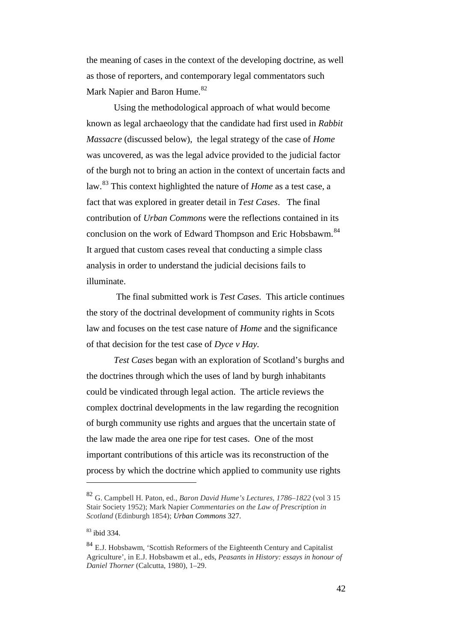the meaning of cases in the context of the developing doctrine, as well as those of reporters, and contemporary legal commentators such Mark Napier and Baron Hume.<sup>82</sup>

Using the methodological approach of what would become known as legal archaeology that the candidate had first used in *Rabbit Massacre* (discussed below), the legal strategy of the case of *Home* was uncovered, as was the legal advice provided to the judicial factor of the burgh not to bring an action in the context of uncertain facts and law.[83](#page-41-1) This context highlighted the nature of *Home* as a test case, a fact that was explored in greater detail in *Test Cases*. The final contribution of *Urban Commons* were the reflections contained in its conclusion on the work of Edward Thompson and Eric Hobsbawm.<sup>[84](#page-41-2)</sup> It argued that custom cases reveal that conducting a simple class analysis in order to understand the judicial decisions fails to illuminate.

The final submitted work is *Test Cases*. This article continues the story of the doctrinal development of community rights in Scots law and focuses on the test case nature of *Home* and the significance of that decision for the test case of *Dyce v Hay.*

*Test Cases* began with an exploration of Scotland's burghs and the doctrines through which the uses of land by burgh inhabitants could be vindicated through legal action. The article reviews the complex doctrinal developments in the law regarding the recognition of burgh community use rights and argues that the uncertain state of the law made the area one ripe for test cases. One of the most important contributions of this article was its reconstruction of the process by which the doctrine which applied to community use rights

<span id="page-41-0"></span><sup>82</sup> G. Campbell H. Paton, ed., *Baron David Hume's Lectures, 1786–1822* (vol 3 15 Stair Society 1952); Mark Napier *Commentaries on the Law of Prescription in Scotland* (Edinburgh 1854); *Urban Commons* 327.

<span id="page-41-1"></span><sup>83</sup> ibid 334.

<span id="page-41-2"></span><sup>84</sup> E.J. Hobsbawm, 'Scottish Reformers of the Eighteenth Century and Capitalist Agriculture', in E.J. Hobsbawm et al., eds, *Peasants in History: essays in honour of Daniel Thorner* (Calcutta, 1980), 1–29.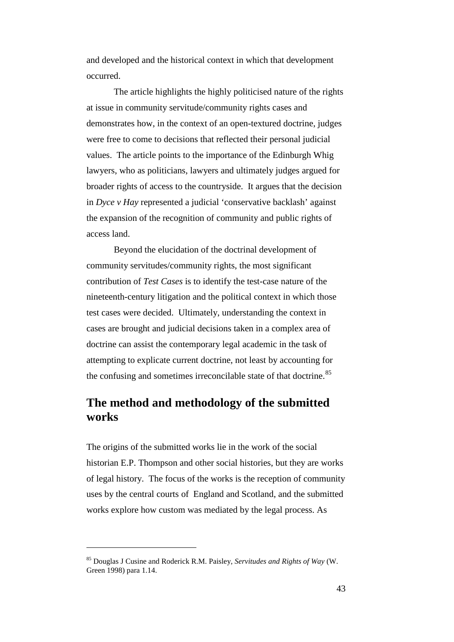and developed and the historical context in which that development occurred.

The article highlights the highly politicised nature of the rights at issue in community servitude/community rights cases and demonstrates how, in the context of an open-textured doctrine, judges were free to come to decisions that reflected their personal judicial values. The article points to the importance of the Edinburgh Whig lawyers, who as politicians, lawyers and ultimately judges argued for broader rights of access to the countryside. It argues that the decision in *Dyce v Hay* represented a judicial 'conservative backlash' against the expansion of the recognition of community and public rights of access land.

Beyond the elucidation of the doctrinal development of community servitudes/community rights, the most significant contribution of *Test Cases* is to identify the test-case nature of the nineteenth-century litigation and the political context in which those test cases were decided. Ultimately, understanding the context in cases are brought and judicial decisions taken in a complex area of doctrine can assist the contemporary legal academic in the task of attempting to explicate current doctrine, not least by accounting for the confusing and sometimes irreconcilable state of that doctrine.<sup>[85](#page-42-1)</sup>

# <span id="page-42-0"></span>**The method and methodology of the submitted works**

The origins of the submitted works lie in the work of the social historian E.P. Thompson and other social histories, but they are works of legal history. The focus of the works is the reception of community uses by the central courts of England and Scotland, and the submitted works explore how custom was mediated by the legal process. As

<span id="page-42-1"></span><sup>85</sup> Douglas J Cusine and Roderick R.M. Paisley, *Servitudes and Rights of Way* (W. Green 1998) para 1.14.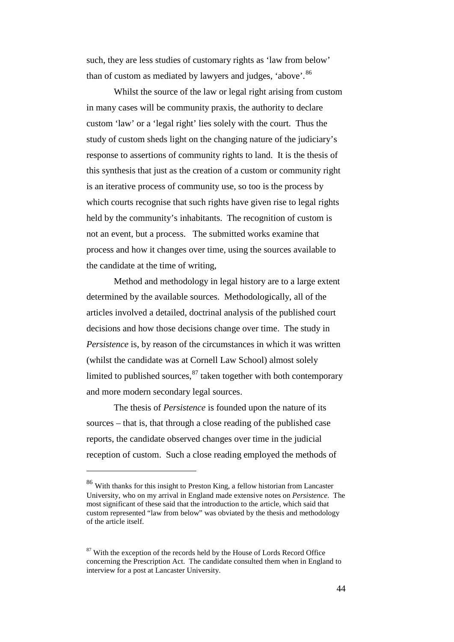such, they are less studies of customary rights as 'law from below' than of custom as mediated by lawyers and judges, 'above'.<sup>[86](#page-43-0)</sup>

Whilst the source of the law or legal right arising from custom in many cases will be community praxis, the authority to declare custom 'law' or a 'legal right' lies solely with the court. Thus the study of custom sheds light on the changing nature of the judiciary's response to assertions of community rights to land. It is the thesis of this synthesis that just as the creation of a custom or community right is an iterative process of community use, so too is the process by which courts recognise that such rights have given rise to legal rights held by the community's inhabitants. The recognition of custom is not an event, but a process. The submitted works examine that process and how it changes over time, using the sources available to the candidate at the time of writing,

Method and methodology in legal history are to a large extent determined by the available sources. Methodologically, all of the articles involved a detailed, doctrinal analysis of the published court decisions and how those decisions change over time. The study in *Persistence* is, by reason of the circumstances in which it was written (whilst the candidate was at Cornell Law School) almost solely limited to published sources,  $87$  taken together with both contemporary and more modern secondary legal sources.

The thesis of *Persistence* is founded upon the nature of its sources – that is, that through a close reading of the published case reports, the candidate observed changes over time in the judicial reception of custom. Such a close reading employed the methods of

<span id="page-43-0"></span> $^{86}$  With thanks for this insight to Preston King, a fellow historian from Lancaster University, who on my arrival in England made extensive notes on *Persistence*. The most significant of these said that the introduction to the article, which said that custom represented "law from below" was obviated by the thesis and methodology of the article itself.

<span id="page-43-1"></span><sup>&</sup>lt;sup>87</sup> With the exception of the records held by the House of Lords Record Office concerning the Prescription Act. The candidate consulted them when in England to interview for a post at Lancaster University.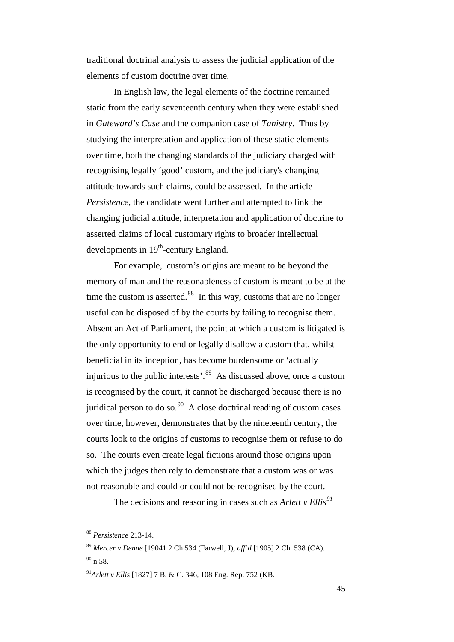traditional doctrinal analysis to assess the judicial application of the elements of custom doctrine over time.

In English law, the legal elements of the doctrine remained static from the early seventeenth century when they were established in *Gateward's Case* and the companion case of *Tanistry*. Thus by studying the interpretation and application of these static elements over time, both the changing standards of the judiciary charged with recognising legally 'good' custom, and the judiciary's changing attitude towards such claims, could be assessed. In the article *Persistence*, the candidate went further and attempted to link the changing judicial attitude, interpretation and application of doctrine to asserted claims of local customary rights to broader intellectual developments in  $19<sup>th</sup>$ -century England.

For example, custom's origins are meant to be beyond the memory of man and the reasonableness of custom is meant to be at the time the custom is asserted.<sup>[88](#page-44-0)</sup> In this way, customs that are no longer useful can be disposed of by the courts by failing to recognise them. Absent an Act of Parliament, the point at which a custom is litigated is the only opportunity to end or legally disallow a custom that, whilst beneficial in its inception, has become burdensome or 'actually injurious to the public interests'.<sup>89</sup> As discussed above, once a custom is recognised by the court, it cannot be discharged because there is no juridical person to do so. $90$  A close doctrinal reading of custom cases over time, however, demonstrates that by the nineteenth century, the courts look to the origins of customs to recognise them or refuse to do so. The courts even create legal fictions around those origins upon which the judges then rely to demonstrate that a custom was or was not reasonable and could or could not be recognised by the court.

The decisions and reasoning in cases such as *Arlett v Ellis[91](#page-44-3)*

<span id="page-44-0"></span><sup>88</sup> *Persistence* 213-14.

<span id="page-44-1"></span><sup>89</sup> *Mercer v Denne* [19041 2 Ch 534 (Farwell, J), *aff'd* [1905] 2 Ch. 538 (CA).  $90 n 58$ 

<span id="page-44-3"></span><span id="page-44-2"></span><sup>91</sup>*Arlett v Ellis* [1827] 7 B. & C. 346, 108 Eng. Rep. 752 (KB.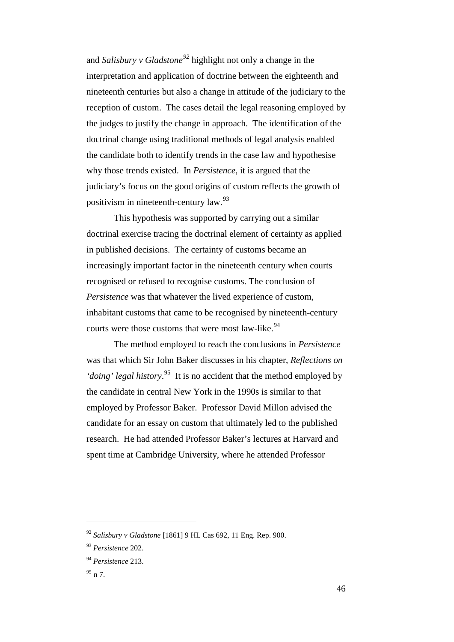and *Salisbury v Gladstone[92](#page-45-0)* highlight not only a change in the interpretation and application of doctrine between the eighteenth and nineteenth centuries but also a change in attitude of the judiciary to the reception of custom. The cases detail the legal reasoning employed by the judges to justify the change in approach. The identification of the doctrinal change using traditional methods of legal analysis enabled the candidate both to identify trends in the case law and hypothesise why those trends existed. In *Persistence*, it is argued that the judiciary's focus on the good origins of custom reflects the growth of positivism in nineteenth-century law.<sup>93</sup>

This hypothesis was supported by carrying out a similar doctrinal exercise tracing the doctrinal element of certainty as applied in published decisions. The certainty of customs became an increasingly important factor in the nineteenth century when courts recognised or refused to recognise customs. The conclusion of *Persistence* was that whatever the lived experience of custom, inhabitant customs that came to be recognised by nineteenth-century courts were those customs that were most law-like.<sup>[94](#page-45-2)</sup>

The method employed to reach the conclusions in *Persistence*  was that which Sir John Baker discusses in his chapter, *Reflections on*  'doing' legal history.<sup>95</sup> It is no accident that the method employed by the candidate in central New York in the 1990s is similar to that employed by Professor Baker. Professor David Millon advised the candidate for an essay on custom that ultimately led to the published research. He had attended Professor Baker's lectures at Harvard and spent time at Cambridge University, where he attended Professor

<span id="page-45-0"></span><sup>92</sup> *Salisbury v Gladstone* [1861] 9 HL Cas 692, 11 Eng. Rep. 900.

<span id="page-45-1"></span><sup>93</sup> *Persistence* 202.

<span id="page-45-2"></span><sup>94</sup> *Persistence* 213.

<span id="page-45-3"></span><sup>95</sup> n 7.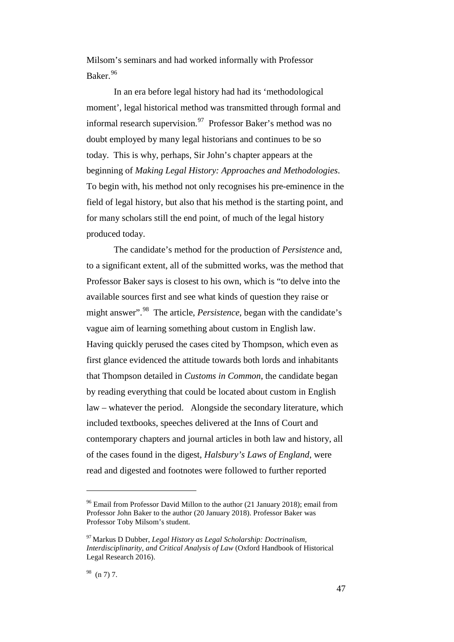Milsom's seminars and had worked informally with Professor Baker.[96](#page-46-0)

In an era before legal history had had its 'methodological moment', legal historical method was transmitted through formal and informal research supervision.<sup>97</sup> Professor Baker's method was no doubt employed by many legal historians and continues to be so today. This is why, perhaps, Sir John's chapter appears at the beginning of *Making Legal History: Approaches and Methodologies*. To begin with, his method not only recognises his pre-eminence in the field of legal history, but also that his method is the starting point, and for many scholars still the end point, of much of the legal history produced today.

The candidate's method for the production of *Persistence* and, to a significant extent, all of the submitted works, was the method that Professor Baker says is closest to his own, which is "to delve into the available sources first and see what kinds of question they raise or might answer".<sup>[98](#page-46-2)</sup> The article, *Persistence*, began with the candidate's vague aim of learning something about custom in English law. Having quickly perused the cases cited by Thompson, which even as first glance evidenced the attitude towards both lords and inhabitants that Thompson detailed in *Customs in Common*, the candidate began by reading everything that could be located about custom in English law – whatever the period. Alongside the secondary literature, which included textbooks, speeches delivered at the Inns of Court and contemporary chapters and journal articles in both law and history, all of the cases found in the digest, *Halsbury's Laws of England*, were read and digested and footnotes were followed to further reported

<span id="page-46-0"></span><sup>&</sup>lt;sup>96</sup> Email from Professor David Millon to the author (21 January 2018); email from Professor John Baker to the author (20 January 2018). Professor Baker was Professor Toby Milsom's student.

<span id="page-46-1"></span><sup>97</sup> Markus D Dubber, *Legal History as Legal Scholarship: Doctrinalism, Interdisciplinarity, and Critical Analysis of Law* (Oxford Handbook of Historical Legal Research 2016).

<span id="page-46-2"></span> $98$  (n 7) 7.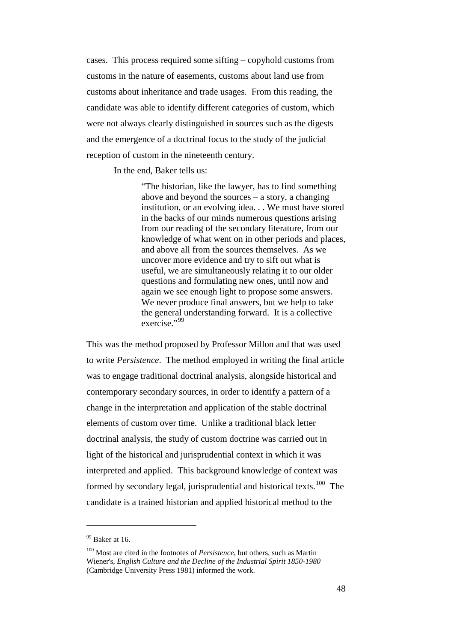cases. This process required some sifting – copyhold customs from customs in the nature of easements, customs about land use from customs about inheritance and trade usages. From this reading, the candidate was able to identify different categories of custom, which were not always clearly distinguished in sources such as the digests and the emergence of a doctrinal focus to the study of the judicial reception of custom in the nineteenth century.

In the end, Baker tells us:

"The historian, like the lawyer, has to find something above and beyond the sources – a story, a changing institution, or an evolving idea. . . We must have stored in the backs of our minds numerous questions arising from our reading of the secondary literature, from our knowledge of what went on in other periods and places, and above all from the sources themselves. As we uncover more evidence and try to sift out what is useful, we are simultaneously relating it to our older questions and formulating new ones, until now and again we see enough light to propose some answers. We never produce final answers, but we help to take the general understanding forward. It is a collective exercise."99

This was the method proposed by Professor Millon and that was used to write *Persistence*. The method employed in writing the final article was to engage traditional doctrinal analysis, alongside historical and contemporary secondary sources, in order to identify a pattern of a change in the interpretation and application of the stable doctrinal elements of custom over time. Unlike a traditional black letter doctrinal analysis, the study of custom doctrine was carried out in light of the historical and jurisprudential context in which it was interpreted and applied. This background knowledge of context was formed by secondary legal, jurisprudential and historical texts.<sup>[100](#page-47-1)</sup> The candidate is a trained historian and applied historical method to the

<span id="page-47-0"></span> $99$  Baker at 16.

<span id="page-47-1"></span><sup>100</sup> Most are cited in the footnotes of *Persistence*, but others, such as Martin Wiener's, *English Culture and the Decline of the Industrial Spirit 1850-1980* (Cambridge University Press 1981) informed the work.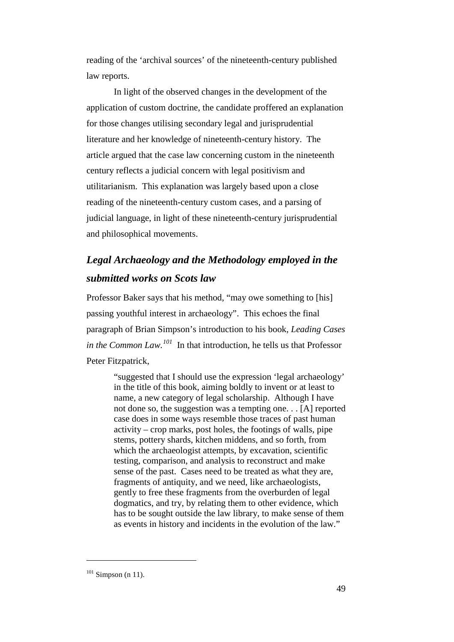reading of the 'archival sources' of the nineteenth-century published law reports.

In light of the observed changes in the development of the application of custom doctrine, the candidate proffered an explanation for those changes utilising secondary legal and jurisprudential literature and her knowledge of nineteenth-century history. The article argued that the case law concerning custom in the nineteenth century reflects a judicial concern with legal positivism and utilitarianism. This explanation was largely based upon a close reading of the nineteenth-century custom cases, and a parsing of judicial language, in light of these nineteenth-century jurisprudential and philosophical movements.

# <span id="page-48-0"></span>*Legal Archaeology and the Methodology employed in the submitted works on Scots law*

Professor Baker says that his method, "may owe something to [his] passing youthful interest in archaeology". This echoes the final paragraph of Brian Simpson's introduction to his book, *Leading Cases in the Common Law.[101](#page-48-1)* In that introduction, he tells us that Professor Peter Fitzpatrick,

> "suggested that I should use the expression 'legal archaeology' in the title of this book, aiming boldly to invent or at least to name, a new category of legal scholarship. Although I have not done so, the suggestion was a tempting one. . . [A] reported case does in some ways resemble those traces of past human activity – crop marks, post holes, the footings of walls, pipe stems, pottery shards, kitchen middens, and so forth, from which the archaeologist attempts, by excavation, scientific testing, comparison, and analysis to reconstruct and make sense of the past. Cases need to be treated as what they are, fragments of antiquity, and we need, like archaeologists, gently to free these fragments from the overburden of legal dogmatics, and try, by relating them to other evidence, which has to be sought outside the law library, to make sense of them as events in history and incidents in the evolution of the law."

<span id="page-48-1"></span> $101$  Simpson (n 11).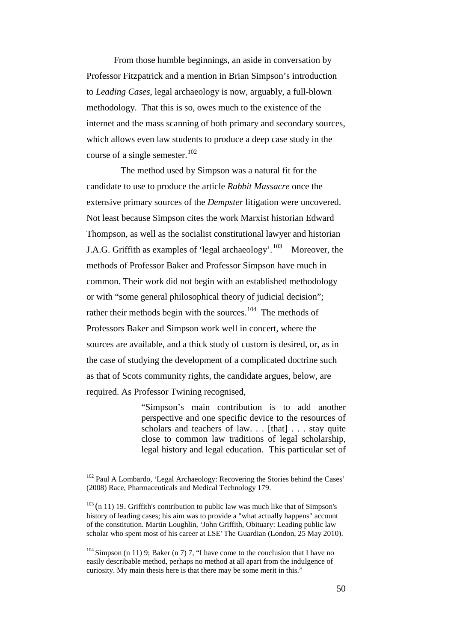From those humble beginnings, an aside in conversation by Professor Fitzpatrick and a mention in Brian Simpson's introduction to *Leading Cases*, legal archaeology is now, arguably, a full-blown methodology. That this is so, owes much to the existence of the internet and the mass scanning of both primary and secondary sources, which allows even law students to produce a deep case study in the course of a single semester.<sup>[102](#page-49-0)</sup>

 The method used by Simpson was a natural fit for the candidate to use to produce the article *Rabbit Massacre* once the extensive primary sources of the *Dempster* litigation were uncovered. Not least because Simpson cites the work Marxist historian Edward Thompson, as well as the socialist constitutional lawyer and historian J.A.G. Griffith as examples of 'legal archaeology'.<sup>[103](#page-49-1)</sup> Moreover, the methods of Professor Baker and Professor Simpson have much in common. Their work did not begin with an established methodology or with "some general philosophical theory of judicial decision"; rather their methods begin with the sources.<sup>[104](#page-49-2)</sup> The methods of Professors Baker and Simpson work well in concert, where the sources are available, and a thick study of custom is desired, or, as in the case of studying the development of a complicated doctrine such as that of Scots community rights, the candidate argues, below, are required. As Professor Twining recognised,

> "Simpson's main contribution is to add another perspective and one specific device to the resources of scholars and teachers of law. . . [that] . . . stay quite close to common law traditions of legal scholarship, legal history and legal education. This particular set of

<span id="page-49-0"></span> $102$  Paul A Lombardo, 'Legal Archaeology: Recovering the Stories behind the Cases' (2008) Race, Pharmaceuticals and Medical Technology 179.

<span id="page-49-1"></span> $103$  (n 11) 19. Griffith's contribution to public law was much like that of Simpson's history of leading cases; his aim was to provide a "what actually happens" account of the constitution. Martin Loughlin, 'John Griffith, Obituary: Leading public law scholar who spent most of his career at LSE' The Guardian (London, 25 May 2010).

<span id="page-49-2"></span> $104$  Simpson (n 11) 9; Baker (n 7) 7, "I have come to the conclusion that I have no easily describable method, perhaps no method at all apart from the indulgence of curiosity. My main thesis here is that there may be some merit in this."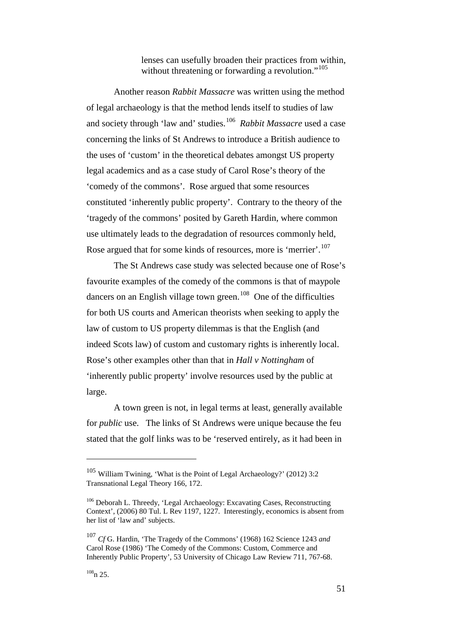lenses can usefully broaden their practices from within, without threatening or forwarding a revolution."<sup>[105](#page-50-0)</sup>

Another reason *Rabbit Massacre* was written using the method of legal archaeology is that the method lends itself to studies of law and society through 'law and' studies.[106](#page-50-1) *Rabbit Massacre* used a case concerning the links of St Andrews to introduce a British audience to the uses of 'custom' in the theoretical debates amongst US property legal academics and as a case study of Carol Rose's theory of the 'comedy of the commons'. Rose argued that some resources constituted 'inherently public property'. Contrary to the theory of the 'tragedy of the commons' posited by Gareth Hardin, where common use ultimately leads to the degradation of resources commonly held, Rose argued that for some kinds of resources, more is 'merrier'.<sup>[107](#page-50-2)</sup>

The St Andrews case study was selected because one of Rose's favourite examples of the comedy of the commons is that of maypole dancers on an English village town green.<sup>[108](#page-50-3)</sup> One of the difficulties for both US courts and American theorists when seeking to apply the law of custom to US property dilemmas is that the English (and indeed Scots law) of custom and customary rights is inherently local. Rose's other examples other than that in *Hall v Nottingham* of 'inherently public property' involve resources used by the public at large.

A town green is not, in legal terms at least, generally available for *public* use. The links of St Andrews were unique because the feu stated that the golf links was to be 'reserved entirely, as it had been in

<span id="page-50-0"></span><sup>105</sup> William Twining, 'What is the Point of Legal Archaeology?' (2012) 3:2 Transnational Legal Theory 166, 172.

<span id="page-50-1"></span><sup>106</sup> Deborah L. Threedy, 'Legal Archaeology: Excavating Cases, Reconstructing Context', (2006) 80 Tul. L Rev 1197, 1227. Interestingly, economics is absent from her list of 'law and' subjects.

<span id="page-50-3"></span><span id="page-50-2"></span><sup>107</sup> *Cf* G. Hardin, 'The Tragedy of the Commons' (1968) 162 Science 1243 *and*  Carol Rose (1986) 'The Comedy of the Commons: Custom, Commerce and Inherently Public Property', 53 University of Chicago Law Review 711, 767-68.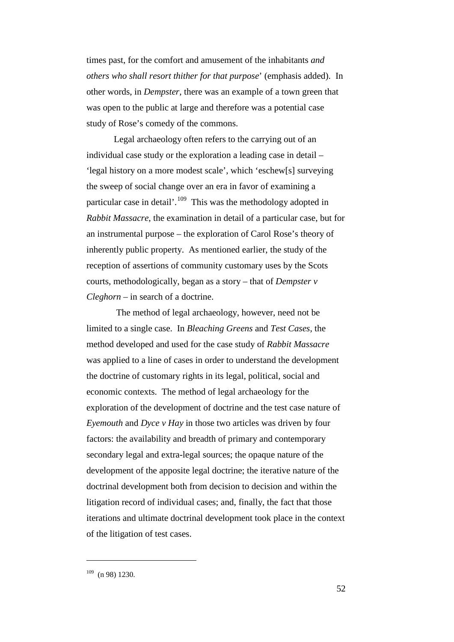times past, for the comfort and amusement of the inhabitants *and others who shall resort thither for that purpose*' (emphasis added). In other words, in *Dempster,* there was an example of a town green that was open to the public at large and therefore was a potential case study of Rose's comedy of the commons.

Legal archaeology often refers to the carrying out of an individual case study or the exploration a leading case in detail – 'legal history on a more modest scale', which 'eschew[s] surveying the sweep of social change over an era in favor of examining a particular case in detail'.[109](#page-51-0) This was the methodology adopted in *Rabbit Massacre*, the examination in detail of a particular case, but for an instrumental purpose – the exploration of Carol Rose's theory of inherently public property. As mentioned earlier, the study of the reception of assertions of community customary uses by the Scots courts, methodologically, began as a story – that of *Dempster v Cleghorn* – in search of a doctrine.

The method of legal archaeology, however, need not be limited to a single case. In *Bleaching Greens* and *Test Cases*, the method developed and used for the case study of *Rabbit Massacre* was applied to a line of cases in order to understand the development the doctrine of customary rights in its legal, political, social and economic contexts. The method of legal archaeology for the exploration of the development of doctrine and the test case nature of *Eyemouth* and *Dyce v Hay* in those two articles was driven by four factors: the availability and breadth of primary and contemporary secondary legal and extra-legal sources; the opaque nature of the development of the apposite legal doctrine; the iterative nature of the doctrinal development both from decision to decision and within the litigation record of individual cases; and, finally, the fact that those iterations and ultimate doctrinal development took place in the context of the litigation of test cases.

<span id="page-51-0"></span><sup>109 (</sup>n 98) 1230.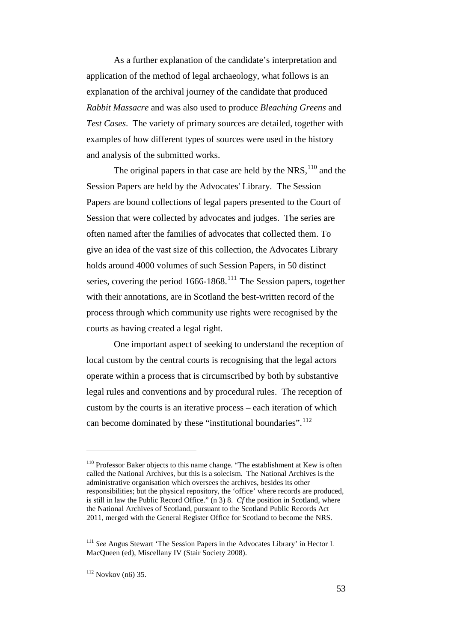As a further explanation of the candidate's interpretation and application of the method of legal archaeology, what follows is an explanation of the archival journey of the candidate that produced *Rabbit Massacre* and was also used to produce *Bleaching Greens* and *Test Cases*. The variety of primary sources are detailed, together with examples of how different types of sources were used in the history and analysis of the submitted works.

The original papers in that case are held by the  $NRS$ ,  $110$  and the Session Papers are held by the Advocates' Library. The Session Papers are bound collections of legal papers presented to the Court of Session that were collected by advocates and judges. The series are often named after the families of advocates that collected them. To give an idea of the vast size of this collection, the Advocates Library holds around 4000 volumes of such Session Papers, in 50 distinct series, covering the period  $1666-1868$ .<sup>[111](#page-52-1)</sup> The Session papers, together with their annotations, are in Scotland the best-written record of the process through which community use rights were recognised by the courts as having created a legal right.

One important aspect of seeking to understand the reception of local custom by the central courts is recognising that the legal actors operate within a process that is circumscribed by both by substantive legal rules and conventions and by procedural rules. The reception of custom by the courts is an iterative process – each iteration of which can become dominated by these "institutional boundaries".<sup>[112](#page-52-2)</sup>

<span id="page-52-0"></span><sup>&</sup>lt;sup>110</sup> Professor Baker objects to this name change. "The establishment at Kew is often called the National Archives, but this is a solecism. The National Archives is the administrative organisation which oversees the archives, besides its other responsibilities; but the physical repository, the 'office' where records are produced, is still in law the Public Record Office." (n 3) 8. *Cf* the position in Scotland, where the National Archives of Scotland, pursuant to the Scotland Public Records Act 2011, merged with the General Register Office for Scotland to become the NRS.

<span id="page-52-2"></span><span id="page-52-1"></span><sup>&</sup>lt;sup>111</sup> See Angus Stewart 'The Session Papers in the Advocates Library' in Hector L MacQueen (ed), Miscellany IV (Stair Society 2008).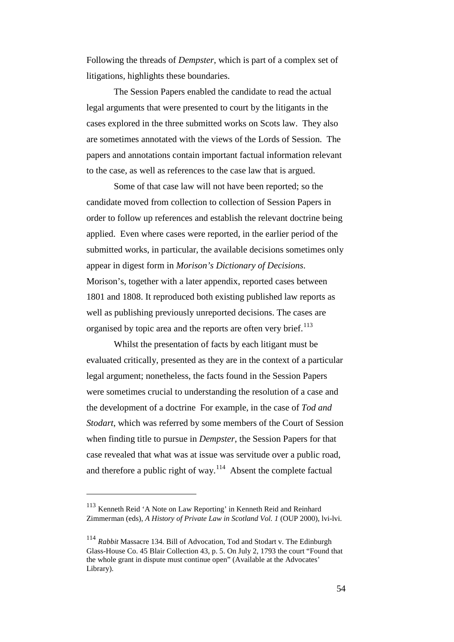Following the threads of *Dempster*, which is part of a complex set of litigations, highlights these boundaries.

The Session Papers enabled the candidate to read the actual legal arguments that were presented to court by the litigants in the cases explored in the three submitted works on Scots law. They also are sometimes annotated with the views of the Lords of Session. The papers and annotations contain important factual information relevant to the case, as well as references to the case law that is argued.

Some of that case law will not have been reported; so the candidate moved from collection to collection of Session Papers in order to follow up references and establish the relevant doctrine being applied. Even where cases were reported, in the earlier period of the submitted works, in particular, the available decisions sometimes only appear in digest form in *Morison's Dictionary of Decisions*. Morison's, together with a later appendix, reported cases between 1801 and 1808. It reproduced both existing published law reports as well as publishing previously unreported decisions. The cases are organised by topic area and the reports are often very brief.<sup>[113](#page-53-0)</sup>

Whilst the presentation of facts by each litigant must be evaluated critically, presented as they are in the context of a particular legal argument; nonetheless, the facts found in the Session Papers were sometimes crucial to understanding the resolution of a case and the development of a doctrine For example, in the case of *Tod and Stodart*, which was referred by some members of the Court of Session when finding title to pursue in *Dempster*, the Session Papers for that case revealed that what was at issue was servitude over a public road, and therefore a public right of way.<sup>114</sup> Absent the complete factual

<span id="page-53-0"></span><sup>113</sup> Kenneth Reid 'A Note on Law Reporting' in Kenneth Reid and Reinhard Zimmerman (eds), *A History of Private Law in Scotland Vol. 1* (OUP 2000), lvi-lvi.

<span id="page-53-1"></span><sup>114</sup> *Rabbit* Massacre 134. Bill of Advocation, Tod and Stodart v. The Edinburgh Glass-House Co. 45 Blair Collection 43, p. 5. On July 2, 1793 the court "Found that the whole grant in dispute must continue open" (Available at the Advocates' Library).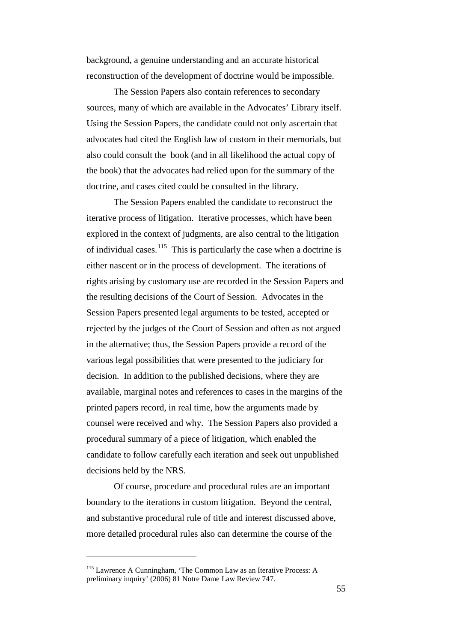background, a genuine understanding and an accurate historical reconstruction of the development of doctrine would be impossible.

The Session Papers also contain references to secondary sources, many of which are available in the Advocates' Library itself. Using the Session Papers, the candidate could not only ascertain that advocates had cited the English law of custom in their memorials, but also could consult the book (and in all likelihood the actual copy of the book) that the advocates had relied upon for the summary of the doctrine, and cases cited could be consulted in the library.

The Session Papers enabled the candidate to reconstruct the iterative process of litigation. Iterative processes, which have been explored in the context of judgments, are also central to the litigation of individual cases.<sup>[115](#page-54-0)</sup> This is particularly the case when a doctrine is either nascent or in the process of development. The iterations of rights arising by customary use are recorded in the Session Papers and the resulting decisions of the Court of Session. Advocates in the Session Papers presented legal arguments to be tested, accepted or rejected by the judges of the Court of Session and often as not argued in the alternative; thus, the Session Papers provide a record of the various legal possibilities that were presented to the judiciary for decision. In addition to the published decisions, where they are available, marginal notes and references to cases in the margins of the printed papers record, in real time, how the arguments made by counsel were received and why. The Session Papers also provided a procedural summary of a piece of litigation, which enabled the candidate to follow carefully each iteration and seek out unpublished decisions held by the NRS.

Of course, procedure and procedural rules are an important boundary to the iterations in custom litigation. Beyond the central, and substantive procedural rule of title and interest discussed above, more detailed procedural rules also can determine the course of the

<span id="page-54-0"></span><sup>&</sup>lt;sup>115</sup> Lawrence A Cunningham, 'The Common Law as an Iterative Process: A preliminary inquiry' (2006) 81 Notre Dame Law Review 747.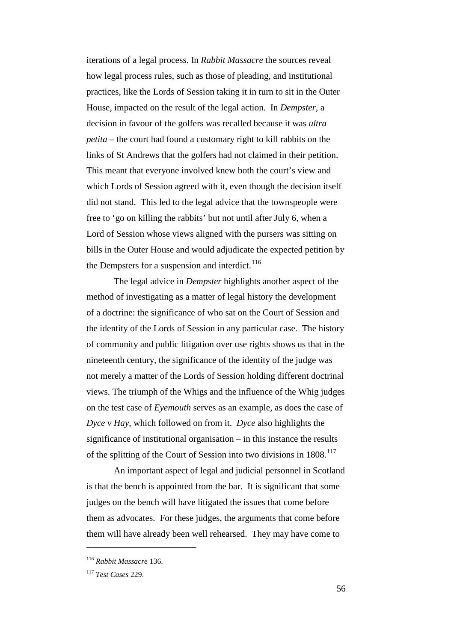iterations of a legal process. In *Rabbit Massacre* the sources reveal how legal process rules, such as those of pleading, and institutional practices, like the Lords of Session taking it in turn to sit in the Outer House, impacted on the result of the legal action. In *Dempster*, a decision in favour of the golfers was recalled because it was *ultra petita* – the court had found a customary right to kill rabbits on the links of St Andrews that the golfers had not claimed in their petition. This meant that everyone involved knew both the court's view and which Lords of Session agreed with it, even though the decision itself did not stand. This led to the legal advice that the townspeople were free to 'go on killing the rabbits' but not until after July 6, when a Lord of Session whose views aligned with the pursers was sitting on bills in the Outer House and would adjudicate the expected petition by the Dempsters for a suspension and interdict.  $116$ 

The legal advice in *Dempster* highlights another aspect of the method of investigating as a matter of legal history the development of a doctrine: the significance of who sat on the Court of Session and the identity of the Lords of Session in any particular case. The history of community and public litigation over use rights shows us that in the nineteenth century, the significance of the identity of the judge was not merely a matter of the Lords of Session holding different doctrinal views. The triumph of the Whigs and the influence of the Whig judges on the test case of *Eyemouth* serves as an example, as does the case of *Dyce v Hay*, which followed on from it. *Dyce* also highlights the significance of institutional organisation – in this instance the results of the splitting of the Court of Session into two divisions in  $1808$ <sup>[117](#page-55-1)</sup>

An important aspect of legal and judicial personnel in Scotland is that the bench is appointed from the bar. It is significant that some judges on the bench will have litigated the issues that come before them as advocates. For these judges, the arguments that come before them will have already been well rehearsed. They may have come to

<span id="page-55-0"></span><sup>116</sup> *Rabbit Massacre* 136.

<span id="page-55-1"></span><sup>117</sup> *Test Cases* 229.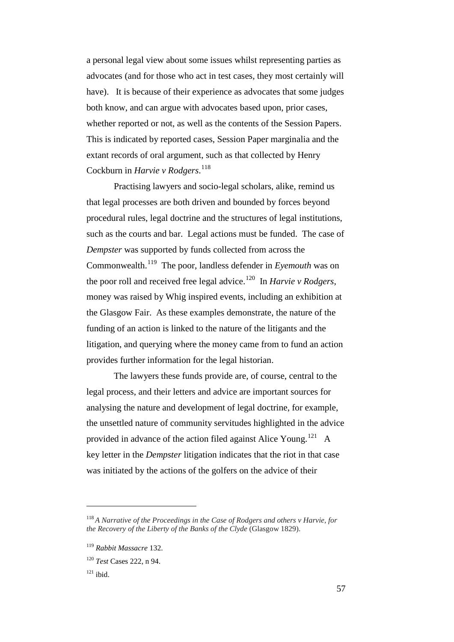a personal legal view about some issues whilst representing parties as advocates (and for those who act in test cases, they most certainly will have). It is because of their experience as advocates that some judges both know, and can argue with advocates based upon, prior cases, whether reported or not, as well as the contents of the Session Papers. This is indicated by reported cases, Session Paper marginalia and the extant records of oral argument, such as that collected by Henry Cockburn in *Harvie v Rodgers*. [118](#page-56-0)

Practising lawyers and socio-legal scholars, alike, remind us that legal processes are both driven and bounded by forces beyond procedural rules, legal doctrine and the structures of legal institutions, such as the courts and bar. Legal actions must be funded. The case of *Dempster* was supported by funds collected from across the Commonwealth.[119](#page-56-1) The poor, landless defender in *Eyemouth* was on the poor roll and received free legal advice. [120](#page-56-2) In *Harvie v Rodgers*, money was raised by Whig inspired events, including an exhibition at the Glasgow Fair. As these examples demonstrate, the nature of the funding of an action is linked to the nature of the litigants and the litigation, and querying where the money came from to fund an action provides further information for the legal historian.

The lawyers these funds provide are, of course, central to the legal process, and their letters and advice are important sources for analysing the nature and development of legal doctrine, for example, the unsettled nature of community servitudes highlighted in the advice provided in advance of the action filed against Alice Young.<sup>[121](#page-56-3)</sup> A key letter in the *Dempster* litigation indicates that the riot in that case was initiated by the actions of the golfers on the advice of their

<span id="page-56-0"></span><sup>118</sup> *A Narrative of the Proceedings in the Case of Rodgers and others v Harvie, for the Recovery of the Liberty of the Banks of the Clyde* (Glasgow 1829).

<span id="page-56-1"></span><sup>119</sup> *Rabbit Massacre* 132.

<span id="page-56-2"></span><sup>120</sup> *Test* Cases 222, n 94.

<span id="page-56-3"></span> $121$  ibid.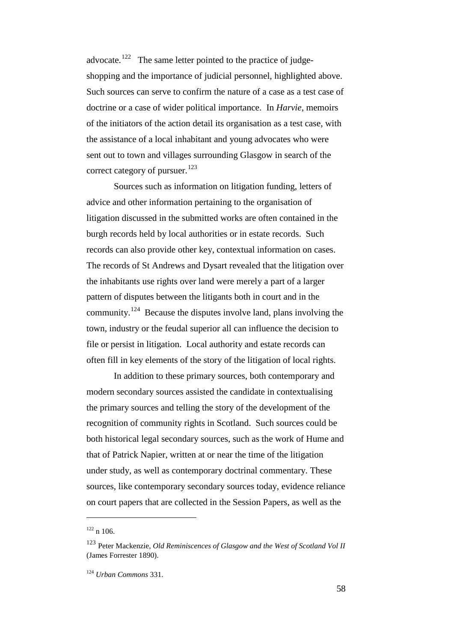advocate.<sup>122</sup> The same letter pointed to the practice of judgeshopping and the importance of judicial personnel, highlighted above. Such sources can serve to confirm the nature of a case as a test case of doctrine or a case of wider political importance. In *Harvie*, memoirs of the initiators of the action detail its organisation as a test case, with the assistance of a local inhabitant and young advocates who were sent out to town and villages surrounding Glasgow in search of the correct category of pursuer.<sup>123</sup>

Sources such as information on litigation funding, letters of advice and other information pertaining to the organisation of litigation discussed in the submitted works are often contained in the burgh records held by local authorities or in estate records. Such records can also provide other key, contextual information on cases. The records of St Andrews and Dysart revealed that the litigation over the inhabitants use rights over land were merely a part of a larger pattern of disputes between the litigants both in court and in the community.<sup>124</sup> Because the disputes involve land, plans involving the town, industry or the feudal superior all can influence the decision to file or persist in litigation. Local authority and estate records can often fill in key elements of the story of the litigation of local rights.

In addition to these primary sources, both contemporary and modern secondary sources assisted the candidate in contextualising the primary sources and telling the story of the development of the recognition of community rights in Scotland. Such sources could be both historical legal secondary sources, such as the work of Hume and that of Patrick Napier, written at or near the time of the litigation under study, as well as contemporary doctrinal commentary. These sources, like contemporary secondary sources today, evidence reliance on court papers that are collected in the Session Papers, as well as the

<span id="page-57-0"></span> $122 n 106$ 

<span id="page-57-1"></span><sup>123</sup> Peter Mackenzie, *Old Reminiscences of Glasgow and the West of Scotland Vol II* (James Forrester 1890).

<span id="page-57-2"></span><sup>124</sup> *Urban Commons* 331.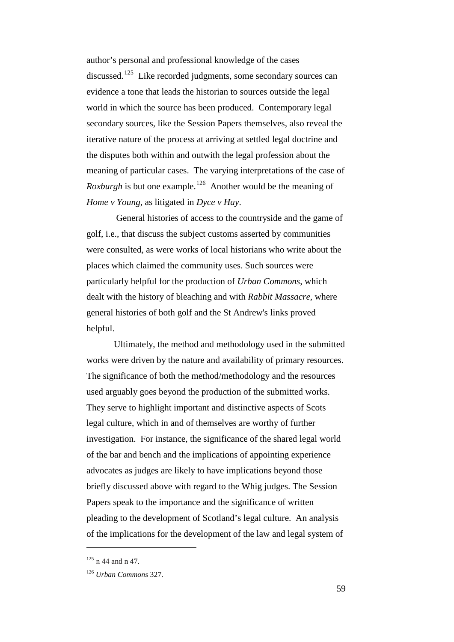author's personal and professional knowledge of the cases discussed.<sup>[125](#page-58-0)</sup> Like recorded judgments, some secondary sources can evidence a tone that leads the historian to sources outside the legal world in which the source has been produced. Contemporary legal secondary sources, like the Session Papers themselves, also reveal the iterative nature of the process at arriving at settled legal doctrine and the disputes both within and outwith the legal profession about the meaning of particular cases. The varying interpretations of the case of *Roxburgh* is but one example.<sup>126</sup> Another would be the meaning of *Home v Young*, as litigated in *Dyce v Hay*.

General histories of access to the countryside and the game of golf, i.e., that discuss the subject customs asserted by communities were consulted, as were works of local historians who write about the places which claimed the community uses. Such sources were particularly helpful for the production of *Urban Commons*, which dealt with the history of bleaching and with *Rabbit Massacre*, where general histories of both golf and the St Andrew's links proved helpful.

Ultimately, the method and methodology used in the submitted works were driven by the nature and availability of primary resources. The significance of both the method/methodology and the resources used arguably goes beyond the production of the submitted works. They serve to highlight important and distinctive aspects of Scots legal culture, which in and of themselves are worthy of further investigation. For instance, the significance of the shared legal world of the bar and bench and the implications of appointing experience advocates as judges are likely to have implications beyond those briefly discussed above with regard to the Whig judges. The Session Papers speak to the importance and the significance of written pleading to the development of Scotland's legal culture. An analysis of the implications for the development of the law and legal system of

<span id="page-58-0"></span> $125$  n 44 and n 47.

<span id="page-58-1"></span><sup>126</sup> *Urban Commons* 327.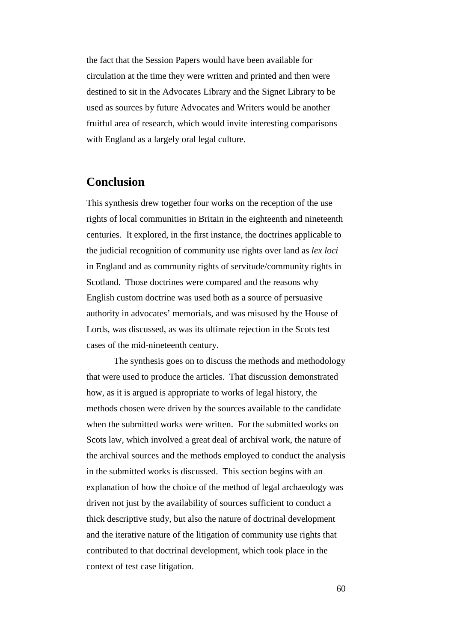the fact that the Session Papers would have been available for circulation at the time they were written and printed and then were destined to sit in the Advocates Library and the Signet Library to be used as sources by future Advocates and Writers would be another fruitful area of research, which would invite interesting comparisons with England as a largely oral legal culture.

## <span id="page-59-0"></span>**Conclusion**

This synthesis drew together four works on the reception of the use rights of local communities in Britain in the eighteenth and nineteenth centuries. It explored, in the first instance, the doctrines applicable to the judicial recognition of community use rights over land as *lex loci* in England and as community rights of servitude/community rights in Scotland. Those doctrines were compared and the reasons why English custom doctrine was used both as a source of persuasive authority in advocates' memorials, and was misused by the House of Lords, was discussed, as was its ultimate rejection in the Scots test cases of the mid-nineteenth century.

The synthesis goes on to discuss the methods and methodology that were used to produce the articles. That discussion demonstrated how, as it is argued is appropriate to works of legal history, the methods chosen were driven by the sources available to the candidate when the submitted works were written. For the submitted works on Scots law, which involved a great deal of archival work, the nature of the archival sources and the methods employed to conduct the analysis in the submitted works is discussed. This section begins with an explanation of how the choice of the method of legal archaeology was driven not just by the availability of sources sufficient to conduct a thick descriptive study, but also the nature of doctrinal development and the iterative nature of the litigation of community use rights that contributed to that doctrinal development, which took place in the context of test case litigation.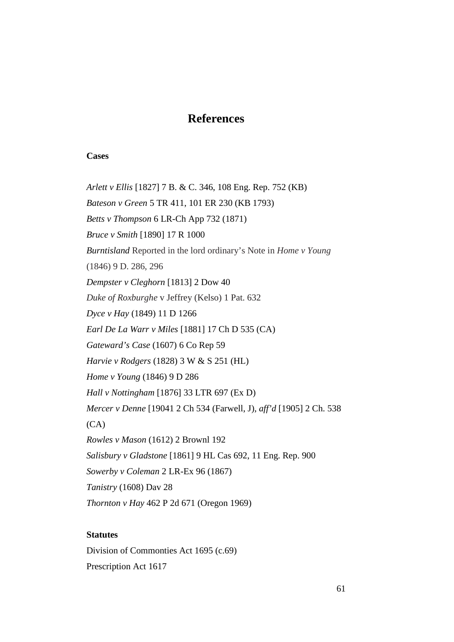## **References**

#### <span id="page-60-0"></span>**Cases**

*Arlett v Ellis* [1827] 7 B. & C. 346, 108 Eng. Rep. 752 (KB)

*Bateson v Green* 5 TR 411, 101 ER 230 (KB 1793)

*Betts v Thompson* 6 LR-Ch App 732 (1871)

*Bruce v Smith* [1890] 17 R 1000

*Burntisland* Reported in the lord ordinary's Note in *Home v Young*

(1846) 9 D. 286, 296

*Dempster v Cleghorn* [1813] 2 Dow 40

*Duke of Roxburghe* v Jeffrey (Kelso) 1 Pat. 632

*Dyce v Hay* (1849) 11 D 1266

*Earl De La Warr v Miles* [1881] 17 Ch D 535 (CA)

*Gateward's Case* (1607) 6 Co Rep 59

*Harvie v Rodgers* (1828) 3 W & S 251 (HL)

*Home v Young* (1846) 9 D 286

*Hall v Nottingham* [1876] 33 LTR 697 (Ex D)

*Mercer v Denne* [19041 2 Ch 534 (Farwell, J), *aff'd* [1905] 2 Ch. 538

(CA)

*Rowles v Mason* (1612) 2 Brownl 192

*Salisbury v Gladstone* [1861] 9 HL Cas 692, 11 Eng. Rep. 900

*Sowerby v Coleman* 2 LR-Ex 96 (1867)

*Tanistry* (1608) Dav 28

*Thornton v Hay* 462 P 2d 671 (Oregon 1969)

#### **Statutes**

Division of Commonties Act 1695 (c.69) Prescription Act 1617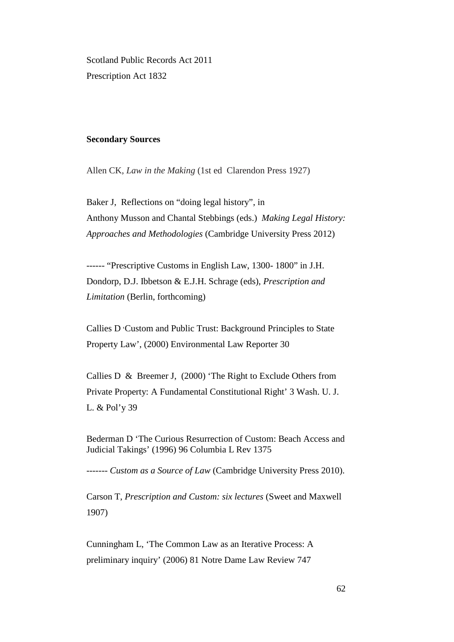Scotland Public Records Act 2011 Prescription Act 1832

#### **Secondary Sources**

Allen CK, *Law in the Making* (1st ed Clarendon Press 1927)

Baker J, Reflections on "doing legal history", in Anthony Musson and Chantal Stebbings (eds.) *Making Legal History: Approaches and Methodologies* (Cambridge University Press 2012)

------ "Prescriptive Customs in English Law, 1300- 1800" in J.H. Dondorp, D.J. Ibbetson & E.J.H. Schrage (eds), *Prescription and Limitation* (Berlin, forthcoming)

Callies D 'Custom and Public Trust: Background Principles to State Property Law', (2000) Environmental Law Reporter 30

Callies D & Breemer J, (2000) 'The Right to Exclude Others from Private Property: A Fundamental Constitutional Right' 3 Wash. U. J. L. & Pol'y 39

Bederman D 'The Curious Resurrection of Custom: Beach Access and Judicial Takings' (1996) 96 Columbia L Rev 1375

------- *Custom as a Source of Law* (Cambridge University Press 2010).

Carson T, *Prescription and Custom: six lectures* (Sweet and Maxwell 1907)

Cunningham L, 'The Common Law as an Iterative Process: A preliminary inquiry' (2006) 81 Notre Dame Law Review 747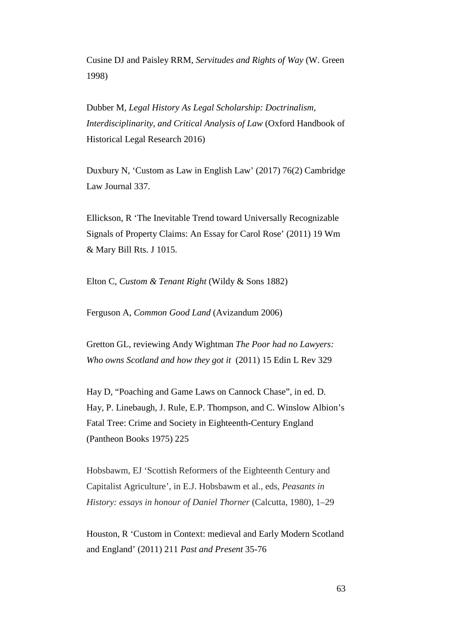Cusine DJ and Paisley RRM, *Servitudes and Rights of Way* (W. Green 1998)

Dubber M, *Legal History As Legal Scholarship: Doctrinalism, Interdisciplinarity, and Critical Analysis of Law* (Oxford Handbook of Historical Legal Research 2016)

Duxbury N, 'Custom as Law in English Law' (2017) 76(2) Cambridge Law Journal 337.

Ellickson, R 'The Inevitable Trend toward Universally Recognizable Signals of Property Claims: An Essay for Carol Rose' (2011) 19 Wm & Mary Bill Rts. J 1015.

Elton C, *Custom & Tenant Right* (Wildy & Sons 1882)

Ferguson A, *Common Good Land* (Avizandum 2006)

Gretton GL, reviewing Andy Wightman *The Poor had no Lawyers: Who owns Scotland and how they got it* (2011) 15 Edin L Rev 329

Hay D, "Poaching and Game Laws on Cannock Chase", in ed. D. Hay, P. Linebaugh, J. Rule, E.P. Thompson, and C. Winslow Albion's Fatal Tree: Crime and Society in Eighteenth-Century England (Pantheon Books 1975) 225

Hobsbawm, EJ 'Scottish Reformers of the Eighteenth Century and Capitalist Agriculture', in E.J. Hobsbawm et al., eds, *Peasants in History: essays in honour of Daniel Thorner* (Calcutta, 1980), 1–29

Houston, R 'Custom in Context: medieval and Early Modern Scotland and England' (2011) 211 *Past and Present* 35-76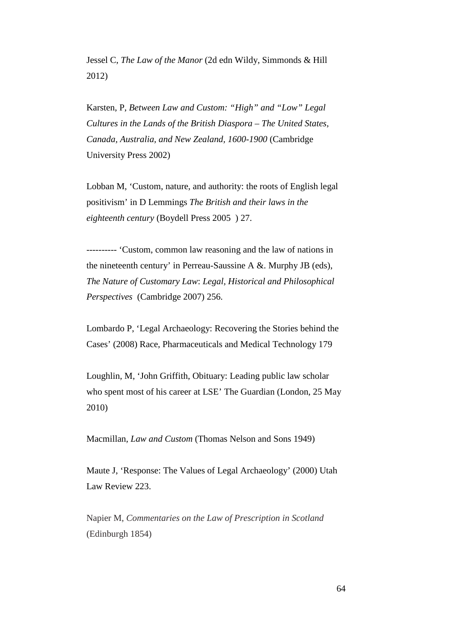Jessel C, *The Law of the Manor* (2d edn Wildy, Simmonds & Hill 2012)

Karsten, P, *Between Law and Custom: "High" and "Low" Legal Cultures in the Lands of the British Diaspora – The United States, Canada, Australia, and New Zealand, 1600-1900* (Cambridge University Press 2002)

Lobban M, 'Custom, nature, and authority: the roots of English legal positivism' in D Lemmings *The British and their laws in the eighteenth century* (Boydell Press 2005 ) 27.

---------- 'Custom, common law reasoning and the law of nations in the nineteenth century' in Perreau-Saussine A &. Murphy JB (eds), *The Nature of Customary Law*: *Legal, Historical and Philosophical Perspectives* (Cambridge 2007) 256.

Lombardo P, 'Legal Archaeology: Recovering the Stories behind the Cases' (2008) Race, Pharmaceuticals and Medical Technology 179

Loughlin, M, 'John Griffith, Obituary: Leading public law scholar who spent most of his career at LSE' The Guardian (London, 25 May 2010)

Macmillan, *Law and Custom* (Thomas Nelson and Sons 1949)

Maute J, 'Response: The Values of Legal Archaeology' (2000) Utah Law Review 223.

Napier M, *Commentaries on the Law of Prescription in Scotland* (Edinburgh 1854)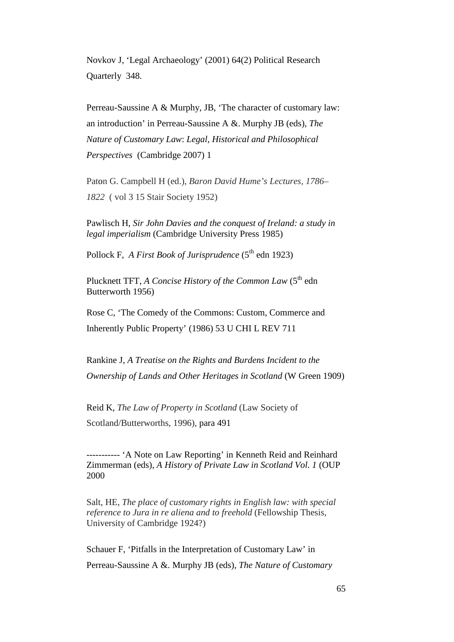Novkov J, 'Legal Archaeology' (2001) 64(2) Political Research Quarterly 348.

Perreau-Saussine A & Murphy, JB, 'The character of customary law: an introduction' in Perreau-Saussine A &. Murphy JB (eds), *The Nature of Customary Law*: *Legal, Historical and Philosophical Perspectives* (Cambridge 2007) 1

Paton G. Campbell H (ed.), *Baron David Hume's Lectures, 1786– 1822* ( vol 3 15 Stair Society 1952)

Pawlisch H, *Sir John Davies and the conquest of Ireland: a study in legal imperialism* (Cambridge University Press 1985)

Pollock F, *A First Book of Jurisprudence* (5<sup>th</sup> edn 1923)

Plucknett TFT, *A Concise History of the Common Law* (5<sup>th</sup> edn) Butterworth 1956)

Rose C, 'The Comedy of the Commons: Custom, Commerce and Inherently Public Property' (1986) 53 U CHI L REV 711

Rankine J, *A Treatise on the Rights and Burdens Incident to the Ownership of Lands and Other Heritages in Scotland* (W Green 1909)

Reid K, *The Law of Property in Scotland* (Law Society of Scotland/Butterworths, 1996), para 491

----------- 'A Note on Law Reporting' in Kenneth Reid and Reinhard Zimmerman (eds), *A History of Private Law in Scotland Vol. 1* (OUP 2000

Salt, HE, *The place of customary rights in English law: with special reference to Jura in re aliena and to freehold* (Fellowship Thesis, University of Cambridge 1924?)

Schauer F, 'Pitfalls in the Interpretation of Customary Law' in Perreau-Saussine A &. Murphy JB (eds), *The Nature of Customary*